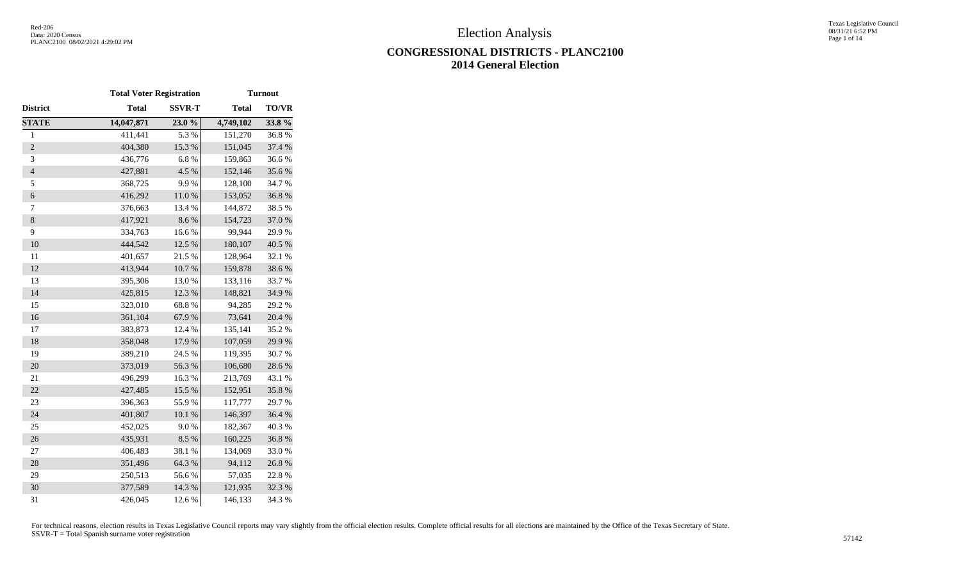Texas Legislative Council 08/31/21 6:52 PM Page 1 of 14

# **CONGRESSIONAL DISTRICTS - PLANC2100 2014 General Election**

|                  | <b>Total Voter Registration</b> |               |              | <b>Turnout</b> |
|------------------|---------------------------------|---------------|--------------|----------------|
| District         | <b>Total</b>                    | <b>SSVR-T</b> | <b>Total</b> | <b>TO/VR</b>   |
| <b>STATE</b>     | 14,047,871                      | 23.0%         | 4,749,102    | 33.8%          |
| $\mathbf{1}$     | 411,441                         | 5.3 %         | 151,270      | 36.8%          |
| $\overline{2}$   | 404,380                         | 15.3%         | 151,045      | 37.4 %         |
| 3                | 436,776                         | 6.8%          | 159,863      | 36.6%          |
| $\overline{4}$   | 427,881                         | 4.5 %         | 152,146      | 35.6%          |
| 5                | 368,725                         | 9.9%          | 128,100      | 34.7%          |
| $\boldsymbol{6}$ | 416,292                         | $11.0\ \%$    | 153,052      | 36.8%          |
| $\tau$           | 376,663                         | 13.4 %        | 144,872      | 38.5%          |
| $\,8\,$          | 417,921                         | 8.6%          | 154,723      | 37.0%          |
| 9                | 334,763                         | 16.6%         | 99,944       | 29.9%          |
| 10               | 444,542                         | 12.5 %        | 180,107      | 40.5 %         |
| 11               | 401,657                         | 21.5 %        | 128,964      | 32.1 %         |
| 12               | 413,944                         | $10.7~\%$     | 159,878      | 38.6%          |
| 13               | 395,306                         | 13.0%         | 133,116      | 33.7%          |
| 14               | 425,815                         | 12.3 %        | 148,821      | 34.9%          |
| 15               | 323,010                         | 68.8%         | 94,285       | 29.2 %         |
| 16               | 361,104                         | 67.9%         | 73,641       | 20.4 %         |
| 17               | 383,873                         | 12.4 %        | 135,141      | 35.2 %         |
| 18               | 358,048                         | 17.9%         | 107,059      | 29.9%          |
| 19               | 389,210                         | 24.5 %        | 119,395      | 30.7%          |
| 20               | 373,019                         | 56.3%         | 106,680      | 28.6%          |
| 21               | 496,299                         | 16.3%         | 213,769      | 43.1 %         |
| 22               | 427,485                         | 15.5 %        | 152,951      | 35.8%          |
| 23               | 396,363                         | 55.9%         | 117,777      | 29.7%          |
| 24               | 401,807                         | $10.1~\%$     | 146,397      | 36.4%          |
| 25               | 452,025                         | 9.0%          | 182,367      | 40.3%          |
| 26               | 435,931                         | 8.5%          | 160,225      | 36.8%          |
| 27               | 406,483                         | 38.1 %        | 134,069      | 33.0%          |
| 28               | 351,496                         | 64.3 %        | 94,112       | 26.8%          |
| 29               | 250,513                         | 56.6%         | 57,035       | 22.8%          |
| 30               | 377,589                         | 14.3 %        | 121,935      | 32.3 %         |
| 31               | 426,045                         | 12.6 %        | 146,133      | 34.3 %         |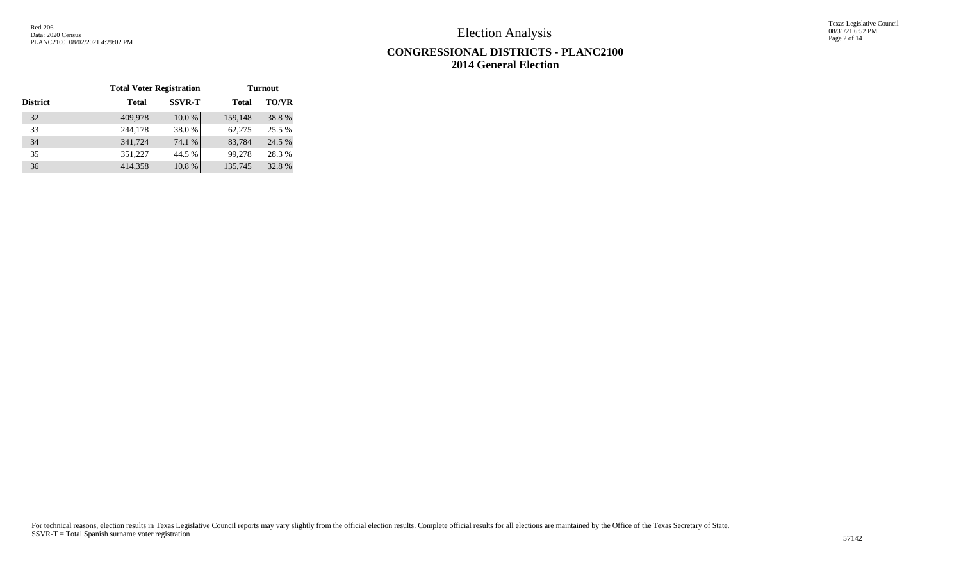Texas Legislative Council 08/31/21 6:52 PM Page 2 of 14

# **CONGRESSIONAL DISTRICTS - PLANC2100 2014 General Election**

|                 | <b>Total Voter Registration</b> |               |              | <b>Turnout</b> |
|-----------------|---------------------------------|---------------|--------------|----------------|
| <b>District</b> | <b>Total</b>                    | <b>SSVR-T</b> | <b>Total</b> | <b>TO/VR</b>   |
| 32              | 409,978                         | 10.0%         | 159,148      | 38.8%          |
| 33              | 244,178                         | 38.0%         | 62,275       | 25.5 %         |
| 34              | 341,724                         | 74.1 %        | 83,784       | 24.5 %         |
| 35              | 351,227                         | 44.5 %        | 99,278       | 28.3 %         |
| 36              | 414,358                         | 10.8%         | 135,745      | 32.8%          |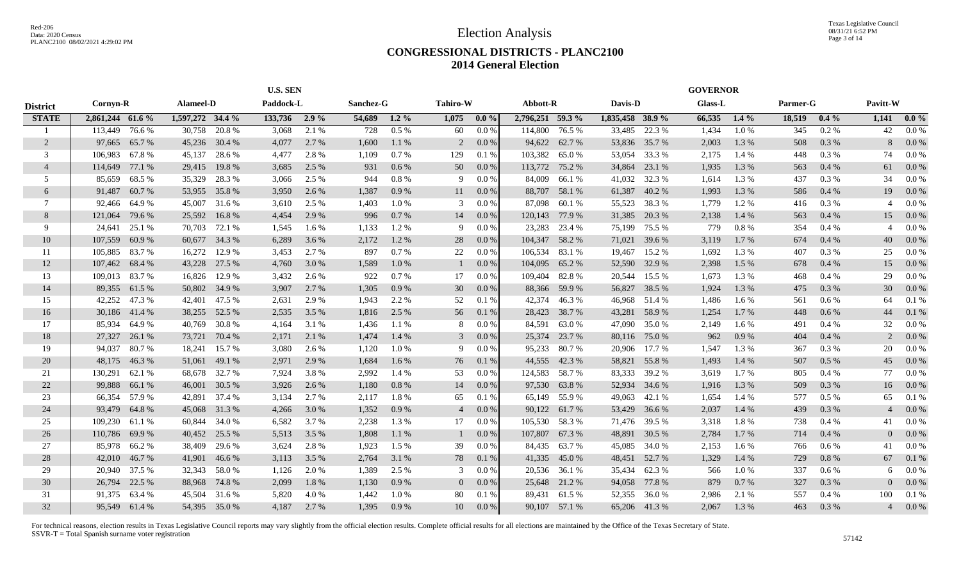#### **CONGRESSIONAL DISTRICTS - PLANC2100 2014 General Election**

|                 |                  |        |                  |               | <b>U.S. SEN</b> |       |           |         |                 |         |                  |               |                  |               | <b>GOVERNOR</b> |          |          |         |                          |           |
|-----------------|------------------|--------|------------------|---------------|-----------------|-------|-----------|---------|-----------------|---------|------------------|---------------|------------------|---------------|-----------------|----------|----------|---------|--------------------------|-----------|
| <b>District</b> | Cornyn-R         |        | Alameel-D        |               | Paddock-L       |       | Sanchez-G |         | <b>Tahiro-W</b> |         | Abbott-R         |               | Davis-D          |               | <b>Glass-L</b>  |          | Parmer-G |         | Pavitt-W                 |           |
| <b>STATE</b>    | 2,861,244 61.6 % |        | 1,597,272 34.4 % |               | 133,736 2.9 %   |       | 54,689    | $1.2\%$ | 1,075           | $0.0\%$ | 2,796,251 59.3 % |               | 1,835,458 38.9 % |               | 66,535          | $1.4\%$  | 18,519   | $0.4\%$ | 1,141                    | $0.0\%$   |
|                 | 113,449          | 76.6%  | 30,758           | 20.8%         | 3,068           | 2.1 % | 728       | 0.5%    | 60              | 0.0 %   | 114,800          | 76.5 %        | 33,485           | 22.3 %        | 1,434           | 1.0%     | 345      | $0.2\%$ | 42                       | $0.0\%$   |
| $\overline{2}$  | 97,665           | 65.7 % | 45,236           | 30.4 %        | 4,077           | 2.7 % | 1,600     | 1.1%    | 2               | $0.0\%$ | 94,622           | 62.7 %        |                  | 53,836 35.7 % | 2,003           | 1.3 %    | 508      | 0.3%    | 8                        | $0.0\%$   |
| 3               | 106,983          | 67.8%  | 45,137           | 28.6 %        | 4,477           | 2.8 % | 1,109     | 0.7%    | 129             | 0.1%    | 103,382          | 65.0%         | 53,054           | 33.3 %        | 2,175           | 1.4 %    | 448      | 0.3 %   | 74                       | $0.0\%$   |
| $\overline{4}$  | 114,649          | 77.1 % | 29,415           | 19.8%         | 3,685           | 2.5 % | 931       | 0.6%    | 50              | $0.0\%$ | 113,772          | 75.2 %        | 34,864           | 23.1 %        | 1,935           | 1.3%     | 563      | 0.4%    | 61                       | $0.0\%$   |
| 5               | 85,659           | 68.5 % | 35,329           | 28.3 %        | 3,066           | 2.5 % | 944       | 0.8%    | 9               | $0.0\%$ | 84,009           | 66.1%         | 41,032           | 32.3 %        | 1,614           | 1.3 %    | 437      | 0.3 %   | 34                       | 0.0 %     |
| 6               | 91,487           | 60.7%  | 53,955           | 35.8%         | 3,950           | 2.6 % | 1,387     | 0.9%    | 11              | $0.0\%$ | 88,707           | 58.1 %        | 61,387           | 40.2 %        | 1,993           | 1.3%     | 586      | 0.4%    | 19                       | 0.0 %     |
| 7               | 92,466           | 64.9 % | 45,007           | 31.6 %        | 3,610           | 2.5 % | 1,403     | 1.0%    | 3               | 0.0 %   | 87,098           | 60.1%         | 55,523           | 38.3 %        | 1,779           | 1.2%     | 416      | 0.3 %   | $\overline{\mathcal{A}}$ | 0.0 %     |
| 8               | 121,064          | 79.6%  | 25,592           | 16.8%         | 4,454           | 2.9 % | 996       | 0.7%    | 14              | 0.0 %   | 120,143          | 77.9 %        | 31,385           | 20.3 %        | 2,138           | 1.4 %    | 563      | 0.4%    | 15                       | 0.0 %     |
| 9               | 24,641           | 25.1 % | 70,703           | 72.1 %        | 1,545           | 1.6 % | 1,133     | 1.2%    | 9               | 0.0 %   | 23,283           | 23.4 %        | 75,199           | 75.5 %        | 779             | $0.8~\%$ | 354      | 0.4%    | $\overline{A}$           | 0.0 %     |
| 10              | 107,559          | 60.9%  | 60,677           | 34.3 %        | 6,289           | 3.6 % | 2,172     | 1.2%    | 28              | $0.0\%$ | 104,347          | 58.2 %        | 71,021           | 39.6 %        | 3,119           | 1.7%     | 674      | 0.4%    | 40                       | $0.0\%$   |
| 11              | 105,885          | 83.7 % | 16,272           | 12.9 %        | 3.453           | 2.7 % | 897       | 0.7%    | 22              | $0.0\%$ | 106,534          | 83.1 %        | 19,467           | 15.2 %        | 1,692           | 1.3 %    | 407      | 0.3 %   | 25                       | $0.0\,\%$ |
| 12              | 107,462          | 68.4%  | 43,228           | 27.5 %        | 4,760           | 3.0 % | 1,589     | 1.0%    |                 | 0.0%    | 104,095          | 65.2%         | 52,590           | 32.9 %        | 2,398           | 1.5 %    | 678      | 0.4%    | 15                       | $0.0\%$   |
| 13              | 109,013          | 83.7%  | 16,826           | 12.9 %        | 3,432           | 2.6 % | 922       | 0.7%    | 17              | 0.0 %   | 109,404          | 82.8%         |                  | 20,544 15.5 % | 1,673           | 1.3 %    | 468      | 0.4%    | 29                       | $0.0\%$   |
| 14              | 89,355           | 61.5 % |                  | 50,802 34.9 % | 3,907           | 2.7 % | 1,305     | 0.9%    | 30              | 0.0 %   | 88,366           | 59.9%         |                  | 56,827 38.5 % | 1,924           | 1.3%     | 475      | 0.3%    | 30                       | $0.0\%$   |
| 15              | 42,252           | 47.3 % | 42,401           | 47.5 %        | 2,631           | 2.9 % | 1,943     | 2.2 %   | 52              | 0.1%    | 42,374           | 46.3%         |                  | 46,968 51.4 % | 1,486           | 1.6 %    | 561      | $0.6\%$ | 64                       | 0.1%      |
| 16              | 30,186 41.4 %    |        | 38,255           | 52.5 %        | 2,535           | 3.5 % | 1,816     | 2.5 %   | 56              | 0.1%    | 28,423           | 38.7 %        | 43,281           | 58.9%         | 1,254           | 1.7 %    | 448      | $0.6\%$ | 44                       | 0.1 %     |
| 17              | 85.934           | 64.9%  | 40,769           | 30.8%         | 4.164           | 3.1 % | 1,436     | 1.1%    | 8               | 0.0 %   | 84,591           | 63.0%         | 47,090           | 35.0 %        | 2,149           | 1.6 %    | 491      | 0.4%    | 32                       | $0.0\%$   |
| 18              | 27,327           | 26.1 % | 73,721           | 70.4 %        | 2,171           | 2.1 % | 1,474     | 1.4 %   | 3               | 0.0 %   | 25,374           | 23.7 %        |                  | 80,116 75.0 % | 962             | 0.9%     | 404      | 0.4%    | $\mathfrak{D}$           | $0.0\%$   |
| 19              | 94.037           | 80.7%  | 18,241           | 15.7 %        | 3,080           | 2.6 % | 1,120     | 1.0%    | 9               | $0.0\%$ | 95,233           | 80.7%         | 20,906           | 17.7 %        | 1,547           | 1.3%     | 367      | 0.3 %   | 20                       | $0.0\,\%$ |
| 20              | 48,175           | 46.3%  | 51,061           | 49.1 %        | 2,971           | 2.9 % | 1,684     | 1.6 %   | 76              | 0.1%    | 44,555           | 42.3 %        | 58,821           | 55.8%         | 1,493           | 1.4 %    | 507      | 0.5%    | 45                       | $0.0\%$   |
| 21              | 130,291          | 62.1 % | 68,678           | 32.7 %        | 7,924           | 3.8%  | 2,992     | 1.4 %   | 53              | 0.0 %   | 124,583          | 58.7%         | 83,333           | 39.2 %        | 3,619           | 1.7%     | 805      | 0.4%    | 77                       | $0.0\%$   |
| 22              | 99,888           | 66.1%  | 46,001           | 30.5 %        | 3,926           | 2.6 % | 1,180     | 0.8%    | 14              | 0.0 %   | 97,530           | 63.8%         | 52,934           | 34.6 %        | 1,916           | 1.3 %    | 509      | 0.3 %   | 16                       | 0.0 %     |
| 23              | 66,354           | 57.9 % | 42,891           | 37.4 %        | 3,134           | 2.7 % | 2,117     | 1.8%    | 65              | 0.1%    | 65,149           | 55.9%         | 49,063           | 42.1 %        | 1,654           | 1.4 %    | 577      | $0.5\%$ | 65                       | 0.1%      |
| 24              | 93,479           | 64.8%  | 45,068           | 31.3 %        | 4,266           | 3.0 % | 1,352     | 0.9%    | $\overline{4}$  | 0.0 %   | 90,122           | 61.7%         | 53,429           | 36.6 %        | 2,037           | 1.4 %    | 439      | 0.3%    |                          | $0.0\%$   |
| 25              | 109,230          | 61.1 % | 60,844           | 34.0 %        | 6,582           | 3.7 % | 2,238     | 1.3%    | 17              | $0.0\%$ | 105,530          | 58.3 %        |                  | 71,476 39.5 % | 3,318           | 1.8%     | 738      | 0.4%    | 41                       | $0.0\%$   |
| 26              | 110,786          | 69.9%  | 40,452           | 25.5 %        | 5,513           | 3.5 % | 1,808     | 1.1%    |                 | 0.0 %   | 107,807          | 67.3 %        | 48,891           | 30.5 %        | 2,784           | 1.7%     | 714      | 0.4%    |                          | $0.0\%$   |
| 27              | 85,978           | 66.2%  | 38,409           | 29.6 %        | 3,624           | 2.8%  | 1,923     | 1.5 %   | 39              | 0.0 %   | 84,435           | 63.7 %        | 45,085           | 34.0 %        | 2,153           | 1.6 %    | 766      | $0.6\%$ | 41                       | 0.0 %     |
| 28              | 42,010           | 46.7%  | 41,901           | 46.6 %        | 3,113           | 3.5 % | 2,764     | 3.1 %   | 78              | 0.1%    | 41,335           | 45.0%         | 48,451           | 52.7 %        | 1,329           | 1.4 %    | 729      | 0.8%    | 67                       | 0.1 %     |
| 29              | 20,940           | 37.5 % | 32,343           | 58.0 %        | 1,126           | 2.0 % | 1,389     | 2.5 %   | 3               | $0.0\%$ | 20,536           | 36.1 %        | 35,434           | 62.3%         | 566             | 1.0%     | 337      | $0.6\%$ | 6                        | $0.0\,\%$ |
| 30              | 26,794           | 22.5 % | 88,968           | 74.8%         | 2,099           | 1.8%  | 1,130     | 0.9%    | $\overline{0}$  | $0.0\%$ | 25,648           | 21.2 %        | 94,058           | 77.8 %        | 879             | 0.7%     | 327      | 0.3 %   |                          | $0.0\%$   |
| 31              | 91,375           | 63.4 % | 45,504           | 31.6 %        | 5,820           | 4.0%  | 1,442     | 1.0%    | 80              | 0.1%    | 89,431           | 61.5 %        | 52,355           | 36.0%         | 2,986           | 2.1 %    | 557      | 0.4%    | 100                      | 0.1%      |
| 32              | 95,549 61.4 %    |        |                  | 54,395 35.0 % | 4,187           | 2.7 % | 1,395     | 0.9%    | 10              | $0.0\%$ |                  | 90,107 57.1 % |                  | 65,206 41.3 % | 2,067           | 1.3 %    | 463      | $0.3\%$ | $\overline{4}$           | $0.0\%$   |
|                 |                  |        |                  |               |                 |       |           |         |                 |         |                  |               |                  |               |                 |          |          |         |                          |           |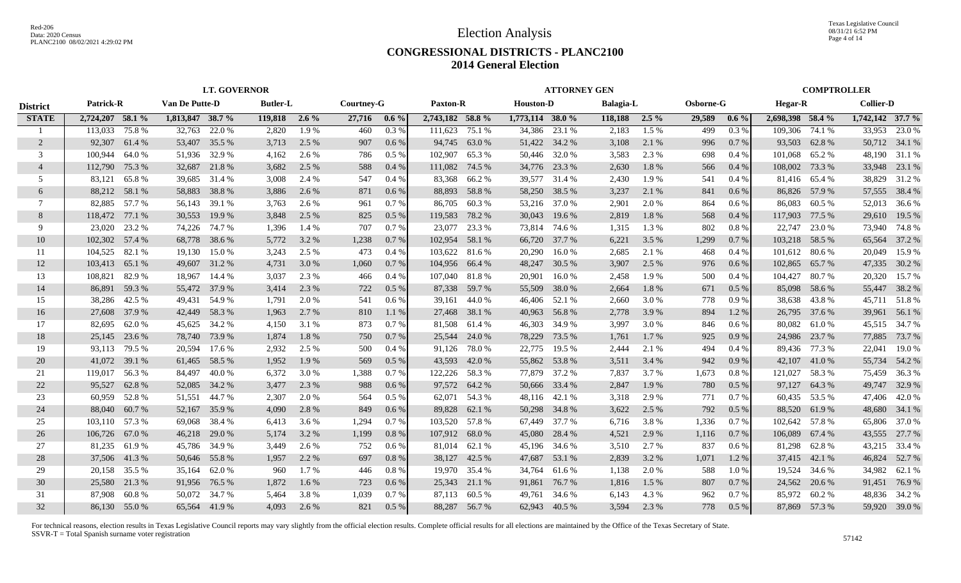Texas Legislative Council 08/31/21 6:52 PM Page 4 of 14

### **CONGRESSIONAL DISTRICTS - PLANC2100 2014 General Election**

|                 |                  |               |                       | <b>LT. GOVERNOR</b> |                 |         |            |         |                  |               |                  | <b>ATTORNEY GEN</b> |                  |         |           |         |                  |               | <b>COMPTROLLER</b> |               |
|-----------------|------------------|---------------|-----------------------|---------------------|-----------------|---------|------------|---------|------------------|---------------|------------------|---------------------|------------------|---------|-----------|---------|------------------|---------------|--------------------|---------------|
| <b>District</b> | <b>Patrick-R</b> |               | <b>Van De Putte-D</b> |                     | <b>Butler-L</b> |         | Courtney-G |         | Paxton-R         |               | <b>Houston-D</b> |                     | <b>Balagia-L</b> |         | Osborne-G |         | <b>Hegar-R</b>   |               | <b>Collier-D</b>   |               |
| <b>STATE</b>    | 2,724,207 58.1 % |               | 1,813,847 38.7 %      |                     | 119,818 2.6 %   |         | 27,716     | $0.6\%$ | 2,743,182 58.8 % |               | 1,773,114 38.0 % |                     | 118,188          | $2.5\%$ | 29,589    | $0.6\%$ | 2,698,398 58.4 % |               | $1,742,142$ 37.7 % |               |
|                 | 113,033          | 75.8%         | 32,763                | 22.0 %              | 2,820           | 1.9 %   | 460        | 0.3%    | 111,623          | 75.1 %        | 34,386           | 23.1 %              | 2,183            | 1.5 %   | 499       | 0.3%    | 109,306          | 74.1 %        | 33,953             | 23.0 %        |
| 2               | 92,307           | 61.4 %        | 53,407                | 35.5 %              | 3,713           | 2.5 %   | 907        | 0.6 %   |                  | 94,745 63.0 % |                  | 51,422 34.2 %       | 3,108            | 2.1 %   | 996       | $0.7\%$ | 93,503           | 62.8%         |                    | 50,712 34.1 % |
| 3               | 100,944          | 64.0%         | 51,936                | 32.9 %              | 4,162           | 2.6 %   | 786        | $0.5\%$ | 102,907          | 65.3%         | 50,446           | 32.0 %              | 3,583            | 2.3 %   | 698       | 0.4%    | 101,068          | 65.2 %        | 48,190             | 31.1 %        |
| $\overline{4}$  | 112,790          | 75.3 %        | 32,687                | 21.8%               | 3,682           | 2.5 %   | 588        | 0.4%    | 111,082          | 74.5 %        | 34,776           | 23.3 %              | 2,630            | 1.8%    | 566       | 0.4%    | 108,002          | 73.3 %        | 33,948             | 23.1 %        |
| .5              | 83,121           | 65.8%         | 39,685                | 31.4 %              | 3,008           | 2.4 %   | 547        | 0.4%    | 83,368           | 66.2%         | 39,577           | 31.4 %              | 2,430            | 1.9%    | 541       | 0.4%    |                  | 81,416 65.4 % | 38,829             | 31.2%         |
| 6               | 88,212           | 58.1 %        | 58,883                | 38.8%               | 3,886           | 2.6 %   | 871        | 0.6 %   |                  | 88,893 58.8 % | 58,250           | 38.5 %              | 3,237            | 2.1 %   | 841       | 0.6 %   |                  | 86,826 57.9 % |                    | 57,555 38.4 % |
| 7               |                  | 82,885 57.7 % | 56,143                | 39.1 %              | 3,763           | 2.6 %   | 961        | 0.7%    | 86,705           | 60.3%         |                  | 53,216 37.0 %       | 2,901            | 2.0 %   | 864       | 0.6%    | 86,083           | 60.5 %        |                    | 52,013 36.6 % |
| 8               | 118,472          | 77.1 %        | 30,553                | 19.9%               | 3,848           | 2.5 %   | 825        | $0.5\%$ | 119,583          | 78.2 %        | 30,043           | 19.6 %              | 2,819            | 1.8%    | 568       | 0.4%    | 117,903 77.5 %   |               | 29,610             | 19.5 %        |
| 9               | 23,020           | 23.2 %        | 74,226                | 74.7 %              | 1,396           | 1.4 %   | 707        | 0.7 %   | 23,077           | 23.3 %        | 73,814           | 74.6 %              | 1,315            | 1.3 %   | 802       | 0.8%    | 22,747           | 23.0 %        | 73,940             | 74.8%         |
| 10              | 102,302 57.4 %   |               | 68,778                | 38.6 %              | 5,772           | 3.2 %   | 1,238      | 0.7%    | 102,954 58.1 %   |               | 66,720           | 37.7 %              | 6,221            | 3.5 %   | 1,299     | 0.7%    | 103,218          | 58.5 %        | 65,564             | 37.2 %        |
| -11             | 104,525          | 82.1 %        | 19,130                | 15.0%               | 3,243           | 2.5 %   | 473        | $0.4\%$ | 103,622 81.6 %   |               | 20,290           | 16.0%               | 2,685            | 2.1 %   | 468       | $0.4\%$ | 101,612 80.6 %   |               | 20,049             | 15.9 %        |
| 12              | 103,413          | 65.1 %        | 49,607                | 31.2 %              | 4,731           | 3.0 %   | 1,060      | 0.7%    | 104,956 66.4 %   |               | 48,247           | 30.5 %              | 3,907            | 2.5 %   | 976       | 0.6%    | 102,865          | 65.7 %        | 47,335             | 30.2 %        |
| 13              | 108,821          | 82.9%         | 18,967                | 14.4 %              | 3.037           | 2.3 %   | 466        | 0.4%    | 107,040 81.8%    |               | 20,901           | 16.0%               | 2,458            | 1.9%    | 500       | $0.4\%$ | 104,427 80.7 %   |               | 20,320             | 15.7 %        |
| 14              | 86,891           | 59.3%         |                       | 55,472 37.9 %       | 3,414           | 2.3 %   | 722        | 0.5%    |                  | 87,338 59.7 % | 55,509           | 38.0 %              | 2,664            | 1.8%    | 671       | 0.5%    |                  | 85,098 58.6 % |                    | 55,447 38.2 % |
| 15              | 38,286 42.5 %    |               | 49,431                | 54.9 %              | 1,791           | 2.0 %   | 541        | $0.6\%$ | 39,161           | 44.0 %        | 46,406           | 52.1 %              | 2,660            | 3.0%    | 778       | 0.9%    |                  | 38,638 43.8%  |                    | 45,711 51.8 % |
| 16              | 27,608 37.9 %    |               | 42,449                | 58.3 %              | 1,963           | 2.7 %   | 810        | 1.1%    |                  | 27,468 38.1 % | 40,963           | 56.8%               | 2,778            | 3.9 %   | 894       | 1.2%    |                  | 26,795 37.6 % |                    | 39,961 56.1 % |
| 17              | 82,695           | 62.0%         | 45,625                | 34.2 %              | 4,150           | 3.1 %   | 873        | 0.7%    | 81,508           | 61.4 %        | 46,303           | 34.9 %              | 3,997            | 3.0 %   | 846       | 0.6 %   | 80,082           | 61.0 %        |                    | 45,515 34.7 % |
| 18              | 25,145           | 23.6 %        | 78,740                | 73.9 %              | 1,874           | 1.8%    | 750        | 0.7%    | 25,544           | 24.0 %        | 78,229           | 73.5 %              | 1,761            | 1.7 %   | 925       | 0.9%    |                  | 24,986 23.7 % | 77,885             | 73.7 %        |
| 19              | 93,113           | 79.5 %        | 20,594                | 17.6 %              | 2,932           | 2.5 %   | 500        | $0.4\%$ | 91,126           | 78.0%         | 22,775           | 19.5 %              | 2,444            | 2.1 %   | 494       | $0.4\%$ |                  | 89,436 77.3 % | 22,041             | 19.0 %        |
| 20              | 41,072           | 39.1 %        | 61,465                | 58.5 %              | 1,952           | 1.9%    | 569        | $0.5\%$ | 43,593           | 42.0%         | 55,862           | 53.8%               | 3,511            | 3.4 %   | 942       | 0.9%    | 42,107           | 41.0%         | 55,734             | 54.2 %        |
| 21              | 119,017          | 56.3%         | 84,497                | 40.0%               | 6,372           | 3.0 %   | 1,388      | 0.7%    | 122,226          | 58.3%         |                  | 77,879 37.2 %       | 7,837            | 3.7 %   | 1,673     | 0.8 %   | 121,027          | 58.3%         | 75,459             | 36.3%         |
| 22              | 95,527           | 62.8%         | 52,085                | 34.2 %              | 3,477           | 2.3 %   | 988        | $0.6\%$ |                  | 97,572 64.2 % | 50,666           | 33.4 %              | 2,847            | 1.9%    | 780       | 0.5%    | 97,127           | 64.3%         | 49,747             | 32.9 %        |
| 23              | 60,959           | 52.8%         | 51,551                | 44.7%               | 2,307           | 2.0 %   | 564        | 0.5%    | 62,071           | 54.3 %        | 48,116           | 42.1 %              | 3,318            | 2.9 %   | 771       | $0.7\%$ | 60,435           | 53.5 %        | 47,406             | 42.0 %        |
| 24              | 88,040           | 60.7%         | 52,167                | 35.9%               | 4,090           | 2.8 %   | 849        | 0.6%    | 89,828           | 62.1 %        | 50,298           | 34.8%               | 3,622            | 2.5 %   | 792       | 0.5 %   |                  | 88,520 61.9%  | 48,680             | 34.1 %        |
| 25              | 103,110 57.3 %   |               | 69,068                | 38.4 %              | 6,413           | 3.6 %   | 1,294      | $0.7\%$ | 103,520 57.8 %   |               | 67,449           | 37.7 %              | 6,716            | 3.8%    | 1,336     | 0.7 %   | 102,642 57.8 %   |               | 65,806             | 37.0 %        |
| 26              | 106,726          | 67.0%         | 46,218                | 29.0 %              | 5,174           | 3.2 %   | 1,199      | 0.8%    | 107,912 68.0 %   |               | 45,080           | 28.4 %              | 4,521            | 2.9 %   | 1,116     | 0.7%    | 106,089          | 67.4 %        |                    | 43,555 27.7 % |
| 27              | 81,235           | 61.9%         | 45,786                | 34.9 %              | 3,449           | 2.6 %   | 752        | 0.6 %   | 81,014           | 62.1 %        | 45,196           | 34.6 %              | 3,510            | 2.7 %   | 837       | $0.6\%$ | 81,298           | 62.8%         | 43,215             | 33.4 %        |
| 28              | 37,506 41.3 %    |               | 50,646                | 55.8%               | 1,957           | 2.2 %   | 697        | 0.8%    | 38,127           | 42.5 %        | 47,687           | 53.1 %              | 2,839            | 3.2 %   | 1,071     | 1.2 %   |                  | 37,415 42.1 % | 46,824             | 52.7 %        |
| 29              | 20,158 35.5 %    |               | 35,164                | 62.0 %              | 960             | 1.7 %   | 446        | 0.8%    |                  | 19,970 35.4 % | 34,764           | 61.6 %              | 1,138            | 2.0 %   | 588       | 1.0%    |                  | 19,524 34.6 % | 34,982             | 62.1 %        |
| 30              | 25,580 21.3 %    |               | 91,956                | 76.5 %              | 1,872           | $1.6\%$ | 723        | $0.6\%$ |                  | 25,343 21.1 % | 91,861           | 76.7 %              | 1,816            | 1.5 %   | 807       | 0.7%    |                  | 24,562 20.6 % |                    | 91,451 76.9 % |
| 31              | 87,908           | 60.8%         | 50,072                | 34.7 %              | 5,464           | 3.8%    | 1,039      | 0.7%    |                  | 87,113 60.5 % | 49,761           | 34.6 %              | 6,143            | 4.3 %   | 962       | 0.7%    | 85,972           | 60.2 %        | 48,836             | 34.2 %        |
| 32              | 86,130 55.0 %    |               |                       | 65,564 41.9 %       | 4.093           | 2.6 %   | 821        | $0.5\%$ |                  | 88,287 56.7 % |                  | 62,943 40.5 %       | 3,594            | 2.3 %   | 778       | 0.5%    |                  | 87,869 57.3 % |                    | 59,920 39.0 % |
|                 |                  |               |                       |                     |                 |         |            |         |                  |               |                  |                     |                  |         |           |         |                  |               |                    |               |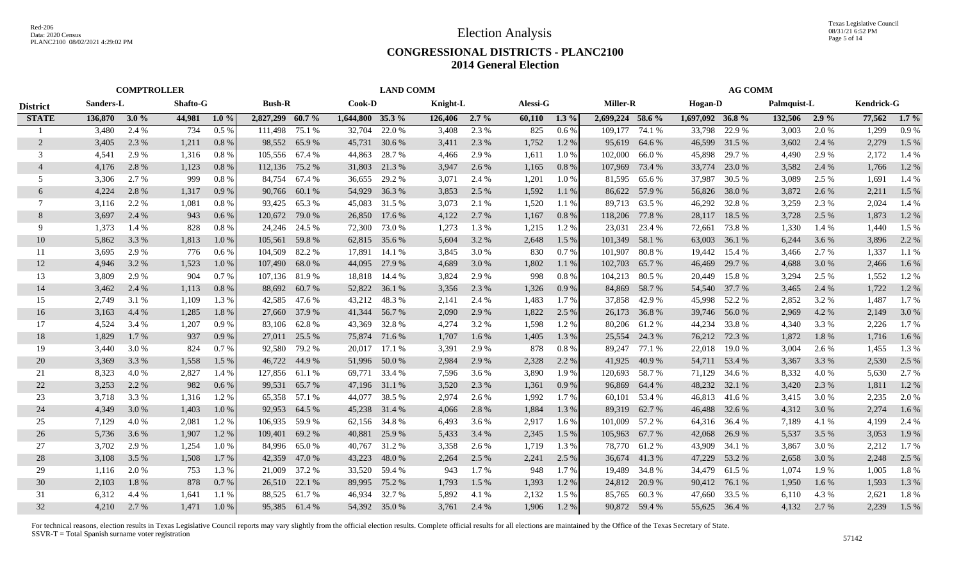### **CONGRESSIONAL DISTRICTS - PLANC2100 2014 General Election**

|                 |           | <b>COMPTROLLER</b> |                 |         |                  |               |                  | <b>LAND COMM</b> |          |         |          |         |                  |               |                   | <b>AG COMM</b> |             |         |                   |         |
|-----------------|-----------|--------------------|-----------------|---------|------------------|---------------|------------------|------------------|----------|---------|----------|---------|------------------|---------------|-------------------|----------------|-------------|---------|-------------------|---------|
| <b>District</b> | Sanders-L |                    | <b>Shafto-G</b> |         | <b>Bush-R</b>    |               | Cook-D           |                  | Knight-L |         | Alessi-G |         | <b>Miller-R</b>  |               | <b>Hogan-D</b>    |                | Palmquist-L |         | <b>Kendrick-G</b> |         |
| <b>STATE</b>    | 136,870   | $-3.0\%$           | 44,981          | $1.0\%$ | 2,827,299 60.7 % |               | 1,644,800 35.3 % |                  | 126,406  | $2.7\%$ | 60,110   | $1.3\%$ | 2,699,224 58.6 % |               | $1,697,092$ 36.8% |                | 132,506     | $2.9\%$ | 77,562            | $1.7\%$ |
|                 | 3,480     | 2.4 %              | 734             | 0.5%    | 111,498          | 75.1 %        | 32,704           | 22.0 %           | 3,408    | 2.3 %   | 825      | 0.6%    | 109.177          | 74.1 %        | 33.798            | 22.9 %         | 3,003       | 2.0 %   | 1,299             | 0.9%    |
| 2               | 3,405     | 2.3 %              | 1,211           | 0.8%    | 98,552           | 65.9%         | 45,731           | 30.6 %           | 3,411    | 2.3 %   | 1,752    | 1.2%    | 95,619           | 64.6 %        | 46,599            | 31.5 %         | 3,602       | 2.4 %   | 2,279             | 1.5 %   |
| 3               | 4,541     | 2.9 %              | 1,316           | $0.8\%$ | 105,556          | 67.4 %        | 44,863           | 28.7 %           | 4,466    | 2.9 %   | 1,611    | 1.0%    | 102,000          | 66.0%         | 45,898            | 29.7 %         | 4.490       | 2.9 %   | 2,172             | 1.4 %   |
| $\overline{4}$  | 4,176     | 2.8%               | 1,123           | 0.8%    | 112,136          | 75.2 %        | 31,803           | 21.3 %           | 3,947    | 2.6 %   | 1,165    | 0.8%    | 107,969          | 73.4 %        | 33,774            | 23.0 %         | 3,582       | 2.4 %   | 1,766             | 1.2%    |
| 5               | 3,306     | 2.7 %              | 999             | 0.8 %   | 84,754           | 67.4 %        | 36,655           | 29.2 %           | 3,071    | 2.4 %   | 1,201    | 1.0%    | 81,595           | 65.6%         | 37,987            | 30.5 %         | 3,089       | 2.5 %   | 1,691             | 1.4 %   |
| 6               | 4,224     | 2.8 %              | 1,317           | 0.9%    | 90,766           | 60.1 %        | 54,929           | 36.3 %           | 3,853    | 2.5 %   | 1,592    | 1.1%    | 86,622           | 57.9 %        | 56,826            | 38.0%          | 3,872       | 2.6 %   | 2,211             | 1.5 %   |
| 7               | 3,116     | 2.2 %              | 1,081           | 0.8 %   | 93,425           | 65.3%         | 45,083           | 31.5 %           | 3,073    | 2.1 %   | 1,520    | 1.1 %   | 89,713           | 63.5 %        | 46,292            | 32.8%          | 3,259       | 2.3 %   | 2,024             | 1.4 %   |
| 8               | 3,697     | 2.4 %              | 943             | 0.6 %   | 120,672          | 79.0 %        | 26,850           | 17.6 %           | 4,122    | 2.7 %   | 1,167    | 0.8%    | 118,206          | 77.8 %        | 28,117            | 18.5 %         | 3,728       | 2.5 %   | 1,873             | 1.2%    |
| 9               | 1,373     | 1.4 %              | 828             | 0.8 %   | 24,246           | 24.5 %        | 72,300           | 73.0 %           | 1,273    | 1.3 %   | 1,215    | 1.2%    | 23,031           | 23.4 %        | 72,661            | 73.8%          | 1,330       | 1.4 %   | 1,440             | 1.5 %   |
| 10              | 5,862     | 3.3 %              | 1,813           | 1.0%    | 105,561          | 59.8%         | 62,815           | 35.6 %           | 5,604    | 3.2 %   | 2,648    | 1.5 %   | 101,349          | 58.1 %        | 63,003            | 36.1 %         | 6,244       | 3.6 %   | 3,896             | 2.2 %   |
| 11              | 3,695     | 2.9 %              | 776             | $0.6\%$ | 104,509          | 82.2 %        | 17,891           | 14.1 %           | 3.845    | 3.0 %   | 830      | 0.7%    | 101,907          | 80.8%         | 19.442            | 15.4 %         | 3,466       | 2.7 %   | 1,337             | 1.1%    |
| 12              | 4,946     | 3.2 %              | 1,523           | 1.0%    | 107,490          | 68.0%         | 44,095           | 27.9 %           | 4,689    | 3.0 %   | 1,802    | 1.1 %   | 102,703          | 65.7%         | 46,469            | 29.7 %         | 4,688       | 3.0 %   | 2,466             | $1.6\%$ |
| 13              | 3,809     | 2.9 %              | 904             | 0.7%    | 107,136 81.9 %   |               | 18,818           | 14.4 %           | 3,824    | 2.9 %   | 998      | 0.8%    | 104,213          | 80.5 %        | 20,449            | 15.8%          | 3,294       | 2.5 %   | 1,552             | 1.2%    |
| 14              | 3,462     | 2.4 %              | 1,113           | 0.8%    | 88,692           | 60.7%         | 52,822           | 36.1 %           | 3,356    | 2.3 %   | 1,326    | 0.9%    | 84,869           | 58.7 %        | 54,540            | 37.7 %         | 3,465       | 2.4 %   | 1,722             | 1.2%    |
| 15              | 2,749     | 3.1 %              | 1,109           | 1.3%    | 42,585           | 47.6 %        |                  | 43,212 48.3 %    | 2,141    | 2.4 %   | 1,483    | 1.7 %   | 37,858           | 42.9%         | 45,998            | 52.2 %         | 2,852       | 3.2 %   | 1,487             | 1.7%    |
| 16              | 3,163     | 4.4 %              | 1,285           | 1.8%    | 27,660           | 37.9 %        |                  | 41,344 56.7 %    | 2,090    | 2.9 %   | 1,822    | 2.5 %   | 26,173           | 36.8%         | 39,746            | 56.0%          | 2,969       | 4.2 %   | 2,149             | 3.0%    |
| 17              | 4.524     | 3.4 %              | 1,207           | 0.9%    | 83.106           | 62.8%         | 43,369           | 32.8%            | 4,274    | 3.2 %   | 1,598    | 1.2%    | 80,206           | 61.2%         | 44,234            | 33.8%          | 4,340       | 3.3 %   | 2,226             | 1.7 %   |
| 18              | 1,829     | 1.7%               | 937             | 0.9%    | 27,011           | 25.5 %        | 75,874           | 71.6 %           | 1,707    | 1.6 %   | 1,405    | 1.3%    | 25,554           | 24.3 %        | 76,212            | 72.3 %         | 1,872       | 1.8%    | 1,716             | 1.6 %   |
| 19              | 3,440     | 3.0 %              | 824             | 0.7%    | 92,580           | 79.2 %        | 20,017           | 17.1 %           | 3,391    | 2.9 %   | 878      | 0.8%    | 89,247           | 77.1 %        | 22,018            | 19.0%          | 3,004       | 2.6 %   | 1,455             | 1.3 %   |
| 20              | 3,369     | 3.3 %              | 1,558           | 1.5 %   | 46,722           | 44.9 %        |                  | 51,996 50.0 %    | 2,984    | 2.9 %   | 2,328    | 2.2 %   | 41,925           | 40.9 %        | 54,711            | 53.4 %         | 3,367       | 3.3 %   | 2,530             | 2.5 %   |
| 21              | 8,323     | 4.0%               | 2,827           | 1.4 %   | 127,856 61.1 %   |               | 69,771           | 33.4 %           | 7,596    | 3.6 %   | 3,890    | 1.9 %   | 120,693          | 58.7 %        | 71,129            | 34.6 %         | 8,332       | 4.0 %   | 5,630             | 2.7 %   |
| 22              | 3,253     | 2.2 %              | 982             | 0.6 %   | 99,531           | 65.7 %        |                  | 47,196 31.1 %    | 3,520    | 2.3 %   | 1,361    | 0.9%    | 96,869           | 64.4 %        | 48,232            | 32.1 %         | 3,420       | 2.3 %   | 1,811             | 1.2%    |
| 23              | 3,718     | 3.3 %              | 1,316           | 1.2%    | 65,358           | 57.1 %        | 44,077           | 38.5 %           | 2,974    | 2.6 %   | 1,992    | 1.7%    | 60,101           | 53.4 %        | 46,813            | 41.6 %         | 3,415       | 3.0 %   | 2,235             | 2.0 %   |
| 24              | 4,349     | 3.0%               | 1,403           | 1.0%    | 92,953           | 64.5 %        | 45,238           | 31.4 %           | 4,066    | 2.8%    | 1,884    | 1.3%    | 89,319           | 62.7%         | 46,488            | 32.6 %         | 4,312       | 3.0 %   | 2,274             | 1.6%    |
| 25              | 7,129     | 4.0 %              | 2,081           | 1.2%    | 106,935          | 59.9 %        |                  | 62,156 34.8 %    | 6.493    | 3.6 %   | 2,917    | 1.6 %   | 101.009          | 57.2 %        | 64,316            | 36.4 %         | 7,189       | 4.1 %   | 4.199             | 2.4 %   |
| 26              | 5,736     | 3.6 %              | 1,907           | 1.2%    | 109,401          | 69.2 %        | 40,881           | 25.9 %           | 5,433    | 3.4 %   | 2,345    | 1.5 %   | 105,963          | 67.7 %        | 42,068            | 26.9 %         | 5,537       | 3.5 %   | 3,053             | 1.9%    |
| 27              | 3,702     | 2.9 %              | 1,254           | 1.0%    | 84,996           | 65.0%         | 40,767           | 31.2 %           | 3,358    | 2.6 %   | 1,719    | 1.3 %   | 78,770           | 61.2%         | 43,909            | 34.1 %         | 3,867       | 3.0 %   | 2,212             | 1.7%    |
| 28              | 3,108     | 3.5%               | 1,508           | 1.7 %   | 42,359           | 47.0 %        | 43,223           | 48.0%            | 2,264    | 2.5 %   | 2,241    | 2.5 %   | 36,674           | 41.3%         | 47,229            | 53.2 %         | 2,658       | 3.0 %   | 2,248             | 2.5 %   |
| 29              | 1,116     | 2.0 %              | 753             | 1.3%    | 21,009           | 37.2 %        | 33,520           | 59.4 %           | 943      | 1.7 %   | 948      | 1.7 %   | 19,489           | 34.8%         | 34,479            | 61.5%          | 1,074       | 1.9 %   | 1,005             | 1.8%    |
| 30              | 2,103     | 1.8%               | 878             | 0.7%    | 26,510           | 22.1 %        | 89,995           | 75.2 %           | 1,793    | 1.5 %   | 1,393    | 1.2%    | 24,812           | 20.9 %        | 90,412            | 76.1 %         | 1,950       | 1.6 %   | 1,593             | 1.3%    |
| 31              | 6,312     | 4.4 %              | 1,641           | 1.1%    | 88,525           | 61.7 %        | 46,934           | 32.7 %           | 5,892    | 4.1 %   | 2,132    | 1.5 %   | 85,765           | 60.3%         | 47,660            | 33.5 %         | 6,110       | 4.3 %   | 2,621             | 1.8%    |
| 32              | 4,210     | 2.7 %              | 1,471           | 1.0%    |                  | 95,385 61.4 % |                  | 54,392 35.0 %    | 3,761    | 2.4 %   | 1,906    | 1.2%    |                  | 90,872 59.4 % | 55,625            | 36.4 %         | 4,132       | 2.7 %   | 2,239             | 1.5 %   |
|                 |           |                    |                 |         |                  |               |                  |                  |          |         |          |         |                  |               |                   |                |             |         |                   |         |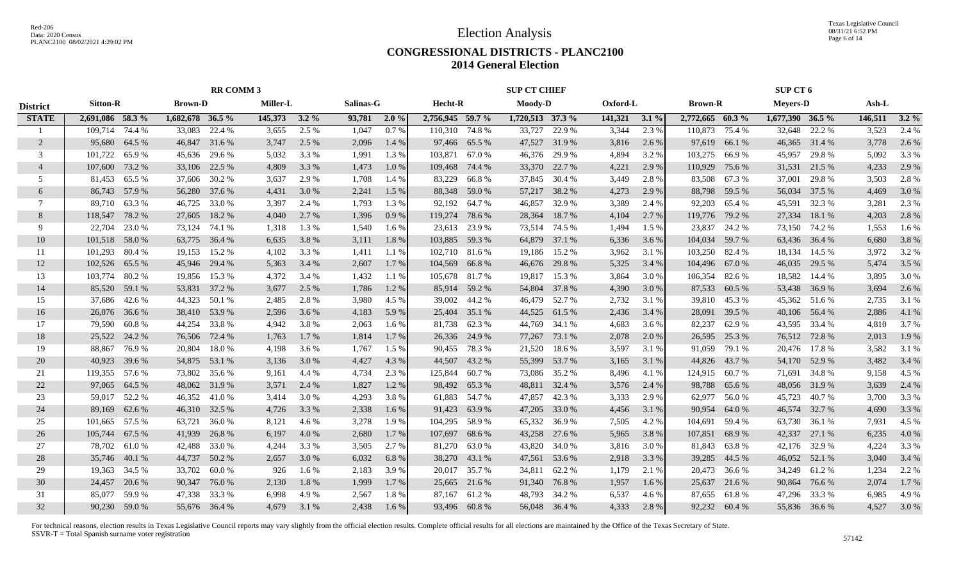Texas Legislative Council 08/31/21 6:52 PM Page 6 of 14

### **CONGRESSIONAL DISTRICTS - PLANC2100 2014 General Election**

|                 |                  |               |                  | <b>RR COMM 3</b> |               |         |           |         |                  |               | <b>SUP CT CHIEF</b> |               |          |         |                  |               | SUP CT 6           |               |         |         |
|-----------------|------------------|---------------|------------------|------------------|---------------|---------|-----------|---------|------------------|---------------|---------------------|---------------|----------|---------|------------------|---------------|--------------------|---------------|---------|---------|
| <b>District</b> | <b>Sitton-R</b>  |               | <b>Brown-D</b>   |                  | Miller-L      |         | Salinas-G |         | Hecht-R          |               | <b>Moody-D</b>      |               | Oxford-L |         | <b>Brown-R</b>   |               | <b>Meyers-D</b>    |               | Ash-L   |         |
| <b>STATE</b>    | 2,691,086 58.3 % |               | 1,682,678 36.5 % |                  | 145,373 3.2 % |         | 93,781    | $2.0\%$ | 2,756,945 59.7 % |               | 1,720,513 37.3 %    |               | 141,321  | $3.1\%$ | 2,772,665 60.3 % |               | $1,677,390$ 36.5 % |               | 146,511 | $3.2\%$ |
|                 | 109.714          | 74.4 %        | 33,083           | 22.4 %           | 3,655         | 2.5 %   | 1,047     | 0.7%    | 110,310 74.8 %   |               | 33,727              | 22.9 %        | 3,344    | 2.3 %   | 110.873          | 75.4 %        | 32,648             | 22.2 %        | 3,523   | 2.4 %   |
| 2               | 95,680           | 64.5 %        | 46,847           | 31.6 %           | 3,747         | 2.5 %   | 2,096     | 1.4 %   |                  | 97,466 65.5 % |                     | 47,527 31.9 % | 3,816    | 2.6 %   | 97,619           | 66.1%         | 46,365             | 31.4 %        | 3,778   | 2.6 %   |
| 3               | 101,722          | 65.9%         | 45,636           | 29.6 %           | 5,032         | 3.3 %   | 1,991     | 1.3%    | 103,871 67.0 %   |               | 46,376              | 29.9 %        | 4,894    | 3.2 %   | 103,275          | 66.9%         | 45,957             | 29.8%         | 5,092   | 3.3 %   |
| $\overline{4}$  | 107,600          | 73.2 %        | 33,106           | 22.5 %           | 4,809         | 3.3 %   | 1,473     | 1.0%    | 109,468          | 74.4 %        | 33,370              | 22.7 %        | 4,221    | 2.9 %   | 110,929          | 75.6 %        | 31,531             | 21.5 %        | 4,233   | 2.9 %   |
| 5               | 81,453           | 65.5 %        | 37,606           | 30.2 %           | 3,637         | 2.9 %   | 1,708     | 1.4 %   | 83,229           | 66.8 %        | 37,845              | 30.4 %        | 3,449    | 2.8%    | 83,508           | 67.3%         | 37,001             | 29.8%         | 3,503   | 2.8 %   |
| 6               |                  | 86,743 57.9 % | 56,280           | 37.6 %           | 4,431         | 3.0 %   | 2,241     | 1.5 %   |                  | 88,348 59.0 % |                     | 57,217 38.2 % | 4,273    | 2.9 %   | 88,798           | 59.5 %        | 56,034             | 37.5 %        | 4,469   | 3.0 %   |
| 7               | 89,710           | 63.3 %        | 46,725           | 33.0 %           | 3,397         | 2.4 %   | 1,793     | 1.3 %   |                  | 92,192 64.7 % | 46,857              | 32.9 %        | 3,389    | 2.4 %   | 92,203           | 65.4 %        | 45,591             | 32.3 %        | 3,281   | 2.3 %   |
| 8               | 118,547          | 78.2 %        | 27,605           | 18.2 %           | 4,040         | 2.7 %   | 1,396     | 0.9%    | 119,274 78.6 %   |               | 28,364              | 18.7%         | 4,104    | 2.7 %   | 119,776          | 79.2 %        | 27,334             | 18.1 %        | 4,203   | 2.8 %   |
| 9               | 22,704           | 23.0 %        | 73,124           | 74.1 %           | 1,318         | 1.3 %   | 1,540     | 1.6 %   |                  | 23,613 23.9 % | 73,514              | 74.5 %        | 1,494    | 1.5 %   | 23,837           | 24.2 %        | 73,150             | 74.2 %        | 1,553   | $1.6\%$ |
| 10              | 101,518          | 58.0%         | 63,775           | 36.4 %           | 6,635         | 3.8%    | 3,111     | 1.8%    | 103,885 59.3 %   |               | 64,879              | 37.1 %        | 6,336    | 3.6 %   | 104,034          | 59.7%         | 63,436             | 36.4 %        | 6,680   | 3.8%    |
| 11              | 101,293          | 80.4 %        | 19,153           | 15.2 %           | 4,102         | 3.3 %   | 1.411     | 1.1 %   | 102,710 81.6 %   |               | 19,186              | 15.2 %        | 3,962    | 3.1 %   | 103,250          | 82.4 %        |                    | 18,134 14.5 % | 3,972   | 3.2 %   |
| 12              | 102,526          | 65.5 %        | 45,946           | 29.4 %           | 5,363         | 3.4 %   | 2,607     | $1.7\%$ | 104,569 66.8 %   |               | 46,676              | 29.8%         | 5,325    | 3.4 %   | 104,496          | 67.0 %        | 46,035             | 29.5 %        | 5,474   | $3.5\%$ |
| 13              | 103,774 80.2 %   |               |                  | 19,856 15.3 %    | 4,372         | 3.4 %   | 1,432     | 1.1 %   | 105,678 81.7 %   |               | 19,817              | 15.3 %        | 3,864    | 3.0 %   | 106,354          | 82.6 %        |                    | 18,582 14.4 % | 3,895   | 3.0 %   |
| 14              | 85,520           | 59.1 %        | 53,831           | 37.2 %           | 3,677         | 2.5 %   | 1,786     | 1.2%    |                  | 85,914 59.2 % | 54,804              | 37.8%         | 4,390    | 3.0%    | 87,533           | 60.5 %        | 53,438 36.9 %      |               | 3,694   | 2.6 %   |
| 15              | 37,686           | 42.6 %        | 44,323           | 50.1 %           | 2,485         | 2.8%    | 3,980     | 4.5 %   |                  | 39,002 44.2 % | 46,479              | 52.7 %        | 2,732    | 3.1 %   | 39,810           | 45.3 %        |                    | 45,362 51.6 % | 2,735   | 3.1 %   |
| 16              | 26,076 36.6 %    |               |                  | 38,410 53.9 %    | 2,596         | 3.6 %   | 4,183     | 5.9%    |                  | 25,404 35.1 % | 44,525              | 61.5 %        | 2,436    | 3.4 %   | 28,091           | 39.5 %        |                    | 40,106 56.4 % | 2,886   | 4.1 %   |
| 17              | 79.590           | 60.8 %        | 44,254           | 33.8%            | 4,942         | 3.8%    | 2,063     | 1.6 %   |                  | 81,738 62.3 % | 44,769              | 34.1 %        | 4,683    | 3.6 %   | 82,237           | 62.9%         |                    | 43,595 33.4 % | 4,810   | 3.7 %   |
| 18              | 25,522           | 24.2 %        | 76,506           | 72.4 %           | 1,763         | $1.7\%$ | 1,814     | 1.7 %   |                  | 26,336 24.9 % | 77,267              | 73.1 %        | 2,078    | 2.0 %   | 26,595           | 25.3 %        |                    | 76,512 72.8 % | 2,013   | 1.9%    |
| 19              | 88,867           | 76.9%         | 20,804           | 18.0%            | 4,198         | 3.6 %   | 1,767     | 1.5 %   | 90,455           | 78.3 %        | 21,520              | 18.6 %        | 3,597    | 3.1 %   | 91,059           | 79.1 %        | 20,476             | 17.8 %        | 3,582   | 3.1 %   |
| 20              | 40,923           | 39.6 %        | 54,875           | 53.1 %           | 3,136         | 3.0 %   | 4,427     | 4.3 %   | 44,507           | 43.2 %        | 55,399              | 53.7 %        | 3,165    | 3.1 %   | 44,826           | 43.7 %        | 54,170             | 52.9 %        | 3,482   | 3.4%    |
| 21              | 119,355          | 57.6 %        | 73,802           | 35.6 %           | 9,161         | 4.4 %   | 4,734     | 2.3 %   | 125,844 60.7 %   |               | 73,086              | 35.2 %        | 8,496    | 4.1 %   | 124,915          | 60.7%         | 71,691             | 34.8%         | 9,158   | 4.5 %   |
| 22              | 97,065           | 64.5 %        | 48,062           | 31.9%            | 3,571         | 2.4 %   | 1,827     | 1.2%    |                  | 98,492 65.3 % |                     | 48,811 32.4 % | 3,576    | 2.4 %   | 98,788           | 65.6%         | 48,056             | 31.9 %        | 3,639   | 2.4 %   |
| 23              | 59,017           | 52.2 %        | 46,352           | 41.0%            | 3,414         | 3.0 %   | 4,293     | 3.8%    | 61,883           | 54.7 %        | 47,857              | 42.3 %        | 3,333    | 2.9 %   | 62,977           | 56.0%         | 45,723             | 40.7%         | 3,700   | 3.3 %   |
| 24              | 89,169           | 62.6 %        | 46,310           | 32.5 %           | 4,726         | 3.3 %   | 2,338     | 1.6 %   | 91,423           | 63.9%         | 47,205              | 33.0 %        | 4,456    | 3.1 %   | 90,954           | 64.0%         | 46,574             | 32.7 %        | 4,690   | 3.3 %   |
| 25              | 101,665          | 57.5 %        | 63.721           | 36.0%            | 8,121         | 4.6 %   | 3,278     | 1.9%    | 104,295 58.9 %   |               | 65,332              | 36.9%         | 7,505    | 4.2 %   | 104,691          | 59.4 %        | 63.730             | 36.1 %        | 7,931   | 4.5 %   |
| 26              | 105,744          | 67.5 %        | 41,939           | 26.8%            | 6,197         | 4.0%    | 2,680     | 1.7 %   | 107,697 68.6 %   |               | 43,258              | 27.6 %        | 5,965    | 3.8 %   | 107,851          | 68.9%         | 42,337             | 27.1 %        | 6,235   | 4.0%    |
| 27              | 78,702           | 61.0%         | 42,488           | 33.0 %           | 4,244         | 3.3 %   | 3,505     | 2.7 %   | 81,270           | 63.0 %        | 43,820              | 34.0 %        | 3,816    | 3.0 %   | 81,843           | 63.8%         | 42,176             | 32.9 %        | 4,224   | 3.3 %   |
| 28              | 35,746           | 40.1 %        | 44,737           | 50.2 %           | 2,657         | 3.0 %   | 6,032     | 6.8%    |                  | 38,270 43.1 % | 47,561              | 53.6 %        | 2,918    | 3.3 %   | 39,285           | 44.5 %        | 46,052             | 52.1 %        | 3,040   | 3.4%    |
| 29              | 19,363           | 34.5 %        | 33,702           | 60.0%            | 926           | 1.6 %   | 2,183     | 3.9 %   |                  | 20,017 35.7 % | 34,811              | 62.2 %        | 1,179    | 2.1 %   | 20,473           | 36.6 %        | 34,249             | 61.2%         | 1,234   | 2.2 %   |
| 30              | 24,457           | 20.6 %        | 90,347           | 76.0%            | 2,130         | 1.8%    | 1,999     | 1.7 %   |                  | 25,665 21.6 % | 91,340              | 76.8%         | 1,957    | 1.6 %   | 25,637           | 21.6 %        | 90,864 76.6 %      |               | 2,074   | $1.7\%$ |
| 31              | 85,077           | 59.9%         | 47,338           | 33.3 %           | 6,998         | 4.9%    | 2,567     | 1.8%    | 87,167           | 61.2%         | 48,793              | 34.2 %        | 6,537    | 4.6 %   | 87,655           | 61.8%         | 47,296             | 33.3 %        | 6,985   | 4.9%    |
| 32              |                  | 90,230 59.0 % |                  | 55,676 36.4 %    | 4,679         | 3.1 %   | 2,438     | $1.6\%$ |                  | 93,496 60.8%  |                     | 56,048 36.4 % | 4,333    | 2.8%    |                  | 92,232 60.4 % |                    | 55,836 36.6 % | 4,527   | 3.0 %   |
|                 |                  |               |                  |                  |               |         |           |         |                  |               |                     |               |          |         |                  |               |                    |               |         |         |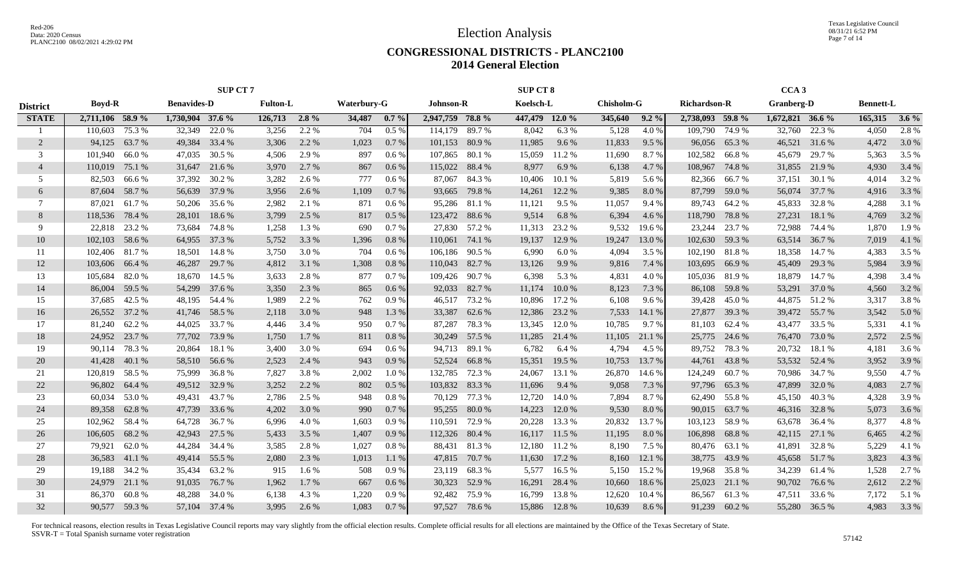Texas Legislative Council 08/31/21 6:52 PM Page 7 of 14

## **CONGRESSIONAL DISTRICTS - PLANC2100 2014 General Election**

|                 |                  |        |                    | <b>SUP CT 7</b> |                 |         |                    |         |                  |        | SUP CT 8       |        |                   |         |                     |        | CCA <sub>3</sub>  |               |                  |         |
|-----------------|------------------|--------|--------------------|-----------------|-----------------|---------|--------------------|---------|------------------|--------|----------------|--------|-------------------|---------|---------------------|--------|-------------------|---------------|------------------|---------|
| <b>District</b> | <b>Boyd-R</b>    |        | <b>Benavides-D</b> |                 | <b>Fulton-L</b> |         | <b>Waterbury-G</b> |         | <b>Johnson-R</b> |        | Koelsch-L      |        | <b>Chisholm-G</b> |         | <b>Richardson-R</b> |        | <b>Granberg-D</b> |               | <b>Bennett-L</b> |         |
| <b>STATE</b>    | 2,711,106 58.9 % |        | 1,730,904 37.6 %   |                 | $126,713$ 2.8%  |         | 34,487             | 0.7%    | 2,947,759 78.8 % |        | 447,479 12.0 % |        | 345,640           | $9.2\%$ | 2,738,093 59.8 %    |        | 1,672,821 36.6 %  |               | 165,315          | $3.6\%$ |
|                 | 110,603          | 75.3 % | 32,349             | 22.0 %          | 3,256           | 2.2 %   | 704                | 0.5%    | 114,179          | 89.7 % | 8,042          | 6.3%   | 5,128             | 4.0%    | 109,790             | 74.9 % | 32,760            | 22.3 %        | 4,050            | 2.8 %   |
| 2               | 94,125           | 63.7%  | 49,384             | 33.4 %          | 3,306           | 2.2 %   | 1,023              | 0.7%    | 101,153          | 80.9%  | 11,985         | 9.6%   | 11,833            | 9.5 %   | 96,056              | 65.3%  | 46,521            | 31.6 %        | 4,472            | 3.0%    |
| 3               | 101.940          | 66.0%  | 47,035             | 30.5 %          | 4,506           | 2.9 %   | 897                | $0.6\%$ | 107,865          | 80.1%  | 15,059         | 11.2 % | 11,690            | 8.7%    | 102,582             | 66.8%  | 45,679            | 29.7 %        | 5,363            | 3.5 %   |
| $\overline{4}$  | 110,019          | 75.1 % | 31,647             | 21.6 %          | 3,970           | 2.7 %   | 867                | 0.6%    | 115,022          | 88.4%  | 8,977          | 6.9%   | 6,138             | 4.7 %   | 108,967             | 74.8%  | 31,855            | 21.9 %        | 4,930            | 3.4 %   |
| 5               | 82,503           | 66.6 % | 37,392             | 30.2 %          | 3,282           | 2.6 %   | 777                | 0.6%    | 87,067           | 84.3%  | 10,406         | 10.1 % | 5,819             | 5.6 %   | 82,366              | 66.7%  | 37,151            | 30.1 %        | 4,014            | 3.2 %   |
| 6               | 87,604           | 58.7 % | 56,639             | 37.9 %          | 3,956           | 2.6 %   | 1,109              | 0.7%    | 93,665           | 79.8%  | 14,261         | 12.2 % | 9,385             | 8.0%    | 87,799              | 59.0 % | 56,074            | 37.7 %        | 4,916            | 3.3 %   |
| 7               | 87,021           | 61.7%  | 50,206             | 35.6 %          | 2,982           | 2.1 %   | 871                | 0.6%    | 95,286           | 81.1 % | 11,121         | 9.5 %  | 11,057            | 9.4 %   | 89,743              | 64.2 % | 45,833            | 32.8%         | 4,288            | 3.1 %   |
| 8               | 118,536          | 78.4 % | 28,101             | 18.6%           | 3,799           | 2.5 %   | 817                | 0.5%    | 123,472          | 88.6%  | 9,514          | 6.8%   | 6,394             | 4.6 %   | 118,790             | 78.8%  | 27,231            | 18.1 %        | 4,769            | 3.2 %   |
| 9               | 22,818           | 23.2 % | 73,684             | 74.8%           | 1,258           | 1.3 %   | 690                | 0.7 %   | 27,830           | 57.2 % | 11,313         | 23.2 % | 9,532             | 19.6 %  | 23,244              | 23.7 % | 72,988            | 74.4 %        | 1,870            | 1.9%    |
| 10              | 102,103          | 58.6%  | 64,955             | 37.3 %          | 5,752           | 3.3 %   | 1,396              | 0.8%    | 110,061          | 74.1 % | 19,137         | 12.9%  | 19,247            | 13.0 %  | 102,630             | 59.3%  | 63,514            | 36.7%         | 7,019            | 4.1 %   |
| 11              | 102,406          | 81.7%  | 18,501             | 14.8%           | 3,750           | 3.0 %   | 704                | 0.6%    | 106.186          | 90.5 % | 6,990          | 6.0%   | 4,094             | 3.5 %   | 102,190             | 81.8%  | 18,358            | 14.7 %        | 4,383            | 3.5 %   |
| 12              | 103,606          | 66.4 % | 46,287             | 29.7 %          | 4,812           | 3.1 %   | 1,308              | 0.8%    | 110,043          | 82.7 % | 13,126         | 9.9%   | 9,816             | 7.4 %   | 103,695             | 66.9%  | 45,409            | 29.3 %        | 5,984            | 3.9%    |
| 13              | 105,684          | 82.0%  | 18,670             | 14.5 %          | 3,633           | 2.8%    | 877                | 0.7%    | 109,426          | 90.7 % | 6,398          | 5.3 %  | 4,831             | 4.0 %   | 105,036             | 81.9%  | 18,879            | 14.7 %        | 4,398            | 3.4 %   |
| 14              | 86,004           | 59.5 % | 54,299             | 37.6 %          | 3,350           | 2.3 %   | 865                | 0.6 %   | 92,033           | 82.7 % | 11,174         | 10.0%  | 8,123             | 7.3 %   | 86,108              | 59.8%  | 53,291            | 37.0 %        | 4,560            | 3.2 %   |
| 15              | 37,685           | 42.5 % | 48,195             | 54.4 %          | 1,989           | 2.2 %   | 762                | 0.9%    | 46,517 73.2 %    |        | 10,896         | 17.2 % | 6,108             | 9.6%    | 39,428              | 45.0%  |                   | 44,875 51.2 % | 3,317            | 3.8%    |
| 16              | 26,552 37.2 %    |        | 41,746             | 58.5 %          | 2,118           | 3.0 %   | 948                | 1.3%    | 33,387           | 62.6 % | 12,386         | 23.2 % | 7,533             | 14.1 %  | 27,877              | 39.3 % |                   | 39,472 55.7 % | 3,542            | 5.0%    |
| 17              | 81.240           | 62.2 % | 44,025             | 33.7 %          | 4,446           | 3.4 %   | 950                | 0.7%    | 87,287           | 78.3%  | 13,345         | 12.0 % | 10,785            | 9.7%    | 81,103              | 62.4 % |                   | 43,477 33.5 % | 5,331            | 4.1 %   |
| 18              | 24,952           | 23.7 % | 77,702             | 73.9 %          | 1,750           | 1.7 %   | 811                | 0.8%    | 30,249           | 57.5 % | 11,285         | 21.4 % | 11,105            | 21.1 %  | 25,775              | 24.6 % | 76,470            | 73.0 %        | 2,572            | 2.5 %   |
| 19              | 90,114           | 78.3%  | 20,864             | 18.1 %          | 3,400           | 3.0 %   | 694                | $0.6\%$ | 94,713           | 89.1 % | 6,782          | 6.4 %  | 4,794             | 4.5 %   | 89,752              | 78.3%  | 20,732            | 18.1 %        | 4,181            | 3.6 %   |
| 20              | 41,428           | 40.1 % | 58,510             | 56.6 %          | 2,523           | 2.4 %   | 943                | 0.9%    | 52,524           | 66.8%  | 15,351         | 19.5 % | 10,753            | 13.7 %  | 44,761              | 43.8%  |                   | 53,532 52.4 % | 3,952            | 3.9 %   |
| 21              | 120,819          | 58.5 % | 75,999             | 36.8%           | 7,827           | 3.8%    | 2,002              | 1.0%    | 132,785          | 72.3 % | 24,067         | 13.1 % | 26,870            | 14.6 %  | 124,249             | 60.7%  |                   | 70,986 34.7 % | 9,550            | 4.7%    |
| 22              | 96,802           | 64.4 % | 49,512             | 32.9 %          | 3,252           | 2.2 %   | 802                | 0.5%    | 103,832          | 83.3%  | 11,696         | 9.4 %  | 9,058             | 7.3 %   | 97,796              | 65.3%  | 47,899            | 32.0 %        | 4,083            | 2.7 %   |
| 23              | 60,034           | 53.0%  | 49,431             | 43.7 %          | 2,786           | 2.5 %   | 948                | 0.8%    | 70,129           | 77.3 % | 12,720         | 14.0%  | 7,894             | 8.7%    | 62,490              | 55.8%  | 45,150            | 40.3%         | 4,328            | 3.9%    |
| 24              | 89,358           | 62.8%  | 47,739             | 33.6 %          | 4,202           | 3.0 %   | 990                | 0.7%    | 95,255           | 80.0%  | 14,223         | 12.0%  | 9,530             | 8.0%    | 90,015              | 63.7 % |                   | 46,316 32.8%  | 5,073            | 3.6 %   |
| 25              | 102,962          | 58.4%  | 64,728             | 36.7%           | 6.996           | 4.0%    | 1,603              | 0.9%    | 110,591          | 72.9 % | 20,228         | 13.3 % | 20,832            | 13.7%   | 103,123             | 58.9%  |                   | 63,678 36.4 % | 8,377            | 4.8%    |
| 26              | 106,605          | 68.2%  | 42,943             | 27.5 %          | 5,433           | 3.5 %   | 1,407              | 0.9%    | 112,326          | 80.4 % | 16,117         | 11.5 % | 11,195            | 8.0%    | 106,898             | 68.8%  |                   | 42,115 27.1 % | 6,465            | 4.2%    |
| 27              | 79,921           | 62.0%  | 44,284             | 34.4 %          | 3,585           | 2.8%    | 1,027              | 0.8%    | 88,431           | 81.3%  | 12,180         | 11.2 % | 8,190             | 7.5 %   | 80,476              | 63.1 % | 41,891            | 32.8%         | 5,229            | 4.1 %   |
| 28              | 36,583           | 41.1 % | 49,414             | 55.5 %          | 2,080           | 2.3 %   | 1,013              | 1.1 %   | 47,815           | 70.7 % | 11,630         | 17.2 % | 8,160             | 12.1 %  | 38,775              | 43.9%  | 45,658            | 51.7 %        | 3,823            | 4.3 %   |
| 29              | 19,188           | 34.2 % | 35,434             | 63.2%           | 915             | $1.6\%$ | 508                | 0.9%    | 23,119           | 68.3%  | 5,577          | 16.5 % | 5,150             | 15.2 %  | 19,968              | 35.8%  | 34,239            | 61.4 %        | 1,528            | 2.7 %   |
| 30              | 24,979           | 21.1 % | 91,035             | 76.7 %          | 1,962           | 1.7 %   | 667                | 0.6 %   | 30,323           | 52.9 % | 16,291         | 28.4 % | 10,660            | 18.6%   | 25,023              | 21.1 % | 90,702            | 76.6 %        | 2,612            | 2.2 %   |
| 31              | 86.370           | 60.8%  | 48,288             | 34.0 %          | 6,138           | 4.3 %   | 1,220              | 0.9%    | 92,482           | 75.9 % | 16,799         | 13.8%  | 12,620            | 10.4 %  | 86,567              | 61.3%  | 47,511            | 33.6 %        | 7,172            | 5.1 %   |
| 32              | 90,577 59.3 %    |        |                    | 57,104 37.4 %   | 3,995           | 2.6 %   | 1,083              | 0.7 %   | 97,527 78.6 %    |        | 15,886         | 12.8%  | 10,639            | 8.6%    | 91,239              | 60.2%  |                   | 55,280 36.5 % | 4,983            | 3.3 %   |
|                 |                  |        |                    |                 |                 |         |                    |         |                  |        |                |        |                   |         |                     |        |                   |               |                  |         |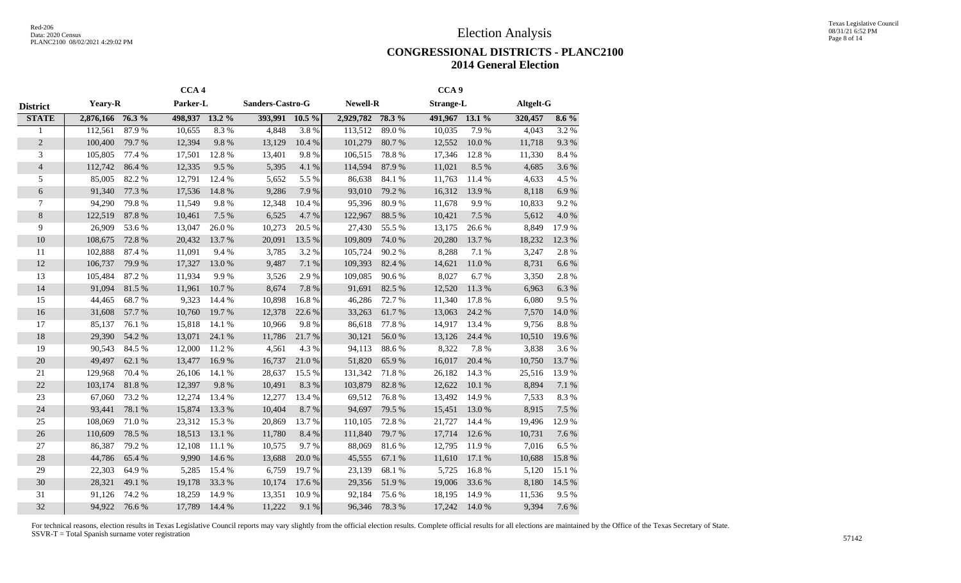Texas Legislative Council 08/31/21 6:52 PM Page 8 of 14

#### **CONGRESSIONAL DISTRICTS - PLANC2100 2014 General Election**

|                 |                  |        | CCA <sub>4</sub> |        |                         |            |                  |        | CCA <sub>9</sub> |        |           |           |
|-----------------|------------------|--------|------------------|--------|-------------------------|------------|------------------|--------|------------------|--------|-----------|-----------|
| <b>District</b> | <b>Yeary-R</b>   |        | Parker-L         |        | <b>Sanders-Castro-G</b> |            | <b>Newell-R</b>  |        | <b>Strange-L</b> |        | Altgelt-G |           |
| <b>STATE</b>    | 2,876,166 76.3 % |        | 498,937 13.2 %   |        | 393,991 10.5 %          |            | 2,929,782 78.3 % |        | 491,967 13.1 %   |        | 320,457   | $8.6\%$   |
|                 | 112,561          | 87.9%  | 10,655           | 8.3%   | 4,848                   | 3.8%       | 113,512          | 89.0%  | 10,035           | 7.9%   | 4,043     | 3.2 %     |
| $\overline{c}$  | 100,400          | 79.7%  | 12,394           | 9.8%   | 13,129                  | 10.4 %     | 101,279          | 80.7%  | 12,552           | 10.0%  | 11,718    | 9.3 %     |
| 3               | 105,805          | 77.4 % | 17,501           | 12.8%  | 13,401                  | 9.8%       | 106,515          | 78.8%  | 17,346           | 12.8%  | 11,330    | 8.4%      |
| $\overline{4}$  | 112,742          | 86.4%  | 12,335           | 9.5%   | 5,395                   | 4.1%       | 114,594          | 87.9%  | 11,021           | 8.5%   | 4,685     | 3.6%      |
| 5               | 85,005           | 82.2%  | 12,791           | 12.4 % | 5,652                   | 5.5 %      | 86,638           | 84.1 % | 11,763           | 11.4 % | 4,633     | 4.5 %     |
| 6               | 91,340           | 77.3 % | 17,536           | 14.8%  | 9,286                   | 7.9%       | 93,010           | 79.2 % | 16,312           | 13.9%  | 8,118     | $6.9~\%$  |
| $\overline{7}$  | 94,290           | 79.8%  | 11,549           | 9.8%   | 12,348                  | 10.4%      | 95,396           | 80.9%  | 11,678           | 9.9%   | 10,833    | 9.2%      |
| 8               | 122,519          | 87.8 % | 10,461           | 7.5 %  | 6,525                   | 4.7%       | 122,967          | 88.5 % | 10,421           | 7.5 %  | 5,612     | $4.0\ \%$ |
| 9               | 26,909           | 53.6%  | 13,047           | 26.0%  | 10,273                  | 20.5 %     | 27,430           | 55.5 % | 13,175           | 26.6%  | 8,849     | 17.9%     |
| 10              | 108,675          | 72.8%  | 20,432           | 13.7%  | 20,091                  | 13.5 %     | 109,809          | 74.0%  | 20,280           | 13.7%  | 18,232    | 12.3 %    |
| 11              | 102,888          | 87.4 % | 11,091           | 9.4%   | 3,785                   | 3.2%       | 105,724          | 90.2%  | 8,288            | 7.1 %  | 3,247     | 2.8%      |
| 12              | 106,737          | 79.9%  | 17,327           | 13.0%  | 9,487                   | 7.1 %      | 109,393          | 82.4 % | 14,621           | 11.0%  | 8,731     | 6.6%      |
| 13              | 105,484          | 87.2%  | 11,934           | 9.9%   | 3,526                   | 2.9%       | 109,085          | 90.6%  | 8,027            | 6.7%   | 3,350     | 2.8 %     |
| 14              | 91,094           | 81.5%  | 11,961           | 10.7%  | 8,674                   | 7.8 %      | 91,691           | 82.5 % | 12,520           | 11.3%  | 6,963     | $6.3~\%$  |
| 15              | 44,465           | 68.7%  | 9,323            | 14.4 % | 10,898                  | 16.8%      | 46,286           | 72.7%  | 11,340           | 17.8%  | 6,080     | 9.5%      |
| 16              | 31,608           | 57.7 % | 10,760           | 19.7%  | 12,378                  | 22.6 %     | 33,263           | 61.7%  | 13,063           | 24.2 % | 7,570     | 14.0 %    |
| 17              | 85,137           | 76.1 % | 15,818           | 14.1 % | 10,966                  | 9.8%       | 86,618           | 77.8%  | 14,917           | 13.4 % | 9,756     | $8.8~\%$  |
| 18              | 29,390           | 54.2 % | 13,071           | 24.1 % | 11,786                  | 21.7%      | 30,121           | 56.0%  | 13,126           | 24.4 % | 10,510    | 19.6%     |
| 19              | 90,543           | 84.5 % | 12,000           | 11.2%  | 4,561                   | 4.3 %      | 94,113           | 88.6%  | 8,322            | 7.8%   | 3,838     | 3.6%      |
| 20              | 49,497           | 62.1 % | 13,477           | 16.9%  | 16,737                  | 21.0%      | 51,820           | 65.9%  | 16,017           | 20.4 % | 10,750    | 13.7%     |
| 21              | 129,968          | 70.4 % | 26,106           | 14.1 % | 28,637                  | 15.5 %     | 131,342          | 71.8%  | 26,182           | 14.3 % | 25,516    | 13.9%     |
| 22              | 103,174          | 81.8%  | 12,397           | 9.8%   | 10,491                  | 8.3%       | 103,879          | 82.8%  | 12,622           | 10.1%  | 8,894     | $7.1~\%$  |
| 23              | 67,060           | 73.2 % | 12,274           | 13.4 % | 12,277                  | 13.4 %     | 69,512           | 76.8%  | 13,492           | 14.9%  | 7,533     | 8.3%      |
| 24              | 93,441           | 78.1 % | 15,874           | 13.3 % | 10,404                  | 8.7%       | 94,697           | 79.5 % | 15,451           | 13.0%  | 8,915     | 7.5 %     |
| 25              | 108,069          | 71.0%  | 23,312           | 15.3%  | 20,869                  | 13.7%      | 110,105          | 72.8%  | 21,727           | 14.4 % | 19,496    | 12.9%     |
| 26              | 110,609          | 78.5 % | 18,513           | 13.1 % | 11,780                  | 8.4%       | 111,840          | 79.7%  | 17,714           | 12.6 % | 10,731    | 7.6 %     |
| 27              | 86,387           | 79.2 % | 12,108           | 11.1 % | 10,575                  | 9.7%       | 88,069           | 81.6%  | 12,795           | 11.9%  | 7,016     | 6.5%      |
| 28              | 44,786           | 65.4 % | 9,990            | 14.6 % | 13,688                  | $20.0\;\%$ | 45,555           | 67.1 % | 11,610           | 17.1 % | 10,688    | 15.8 %    |
| 29              | 22,303           | 64.9%  | 5,285            | 15.4 % | 6,759                   | 19.7%      | 23,139           | 68.1%  | 5,725            | 16.8%  | 5,120     | 15.1 %    |
| 30              | 28,321           | 49.1 % | 19,178           | 33.3 % | 10,174                  | 17.6 %     | 29,356           | 51.9%  | 19,006           | 33.6%  | 8,180     | 14.5 %    |
| 31              | 91,126           | 74.2 % | 18,259           | 14.9%  | 13,351                  | 10.9%      | 92,184           | 75.6%  | 18,195           | 14.9%  | 11,536    | 9.5%      |
| 32              | 94,922           | 76.6%  | 17,789           | 14.4 % | 11,222                  | 9.1 %      | 96,346           | 78.3%  | 17,242           | 14.0 % | 9,394     | 7.6 %     |
|                 |                  |        |                  |        |                         |            |                  |        |                  |        |           |           |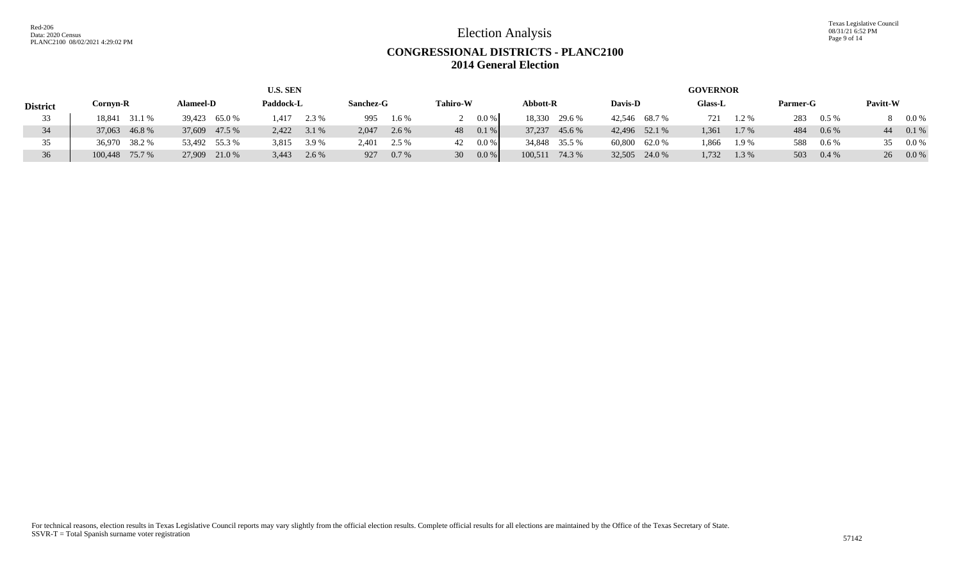Texas Legislative Council 08/31/21 6:52 PM Page 9 of 14

## **CONGRESSIONAL DISTRICTS - PLANC2100 2014 General Election**

|                 |                |                  | <b>U.S. SEN</b> |                |                          |                |               | <b>GOVERNOR</b>  |                |               |
|-----------------|----------------|------------------|-----------------|----------------|--------------------------|----------------|---------------|------------------|----------------|---------------|
| <b>District</b> | Cornyn-R       | <b>Alameel-D</b> | Paddock-L       | Sanchez-G      | <b>Tahiro-W</b>          | Abbott-R       | Davis-D       | <b>Glass-L</b>   | Parmer-G       | Pavitt-W      |
| 33 <sup>7</sup> | 18,841 31.1 %  | 39,423 65.0 %    | $1,417$ 2.3 %   | 995<br>$1.6\%$ | 0.0 %                    | 18,330 29.6 %  | 42,546 68.7 % | $1.2\%$<br>721   | 283<br>$0.5\%$ | $0.0\%$       |
| 34              | 37,063 46.8 %  | 37,609 47.5 %    | $2,422$ $3.1\%$ | 2.047<br>2.6 % | $0.1\%$<br>48            | 37,237 45.6 %  | 42,496 52.1 % | 1.361<br>$1.7\%$ | 484<br>$0.6\%$ | 0.1%<br>44    |
| 35              | 36,970 38.2 %  | 53,492 55.3 %    | 3,815<br>3.9 %  | 2,401<br>2.5 % | $0.0\%$<br>42.           | 34,848 35.5 %  | 60,800 62.0 % | 1.866<br>1.9%    | 588<br>$0.6\%$ | $0.0\%$<br>35 |
| 36              | 100,448 75.7 % | 27,909 21.0 %    | 3,443<br>2.6 %  | 927<br>$0.7\%$ | 0.0 %<br>30 <sup>1</sup> | 100,511 74.3 % | 32,505 24.0 % | 1,732<br>1.3%    | 503<br>$0.4\%$ | $0.0\%$<br>26 |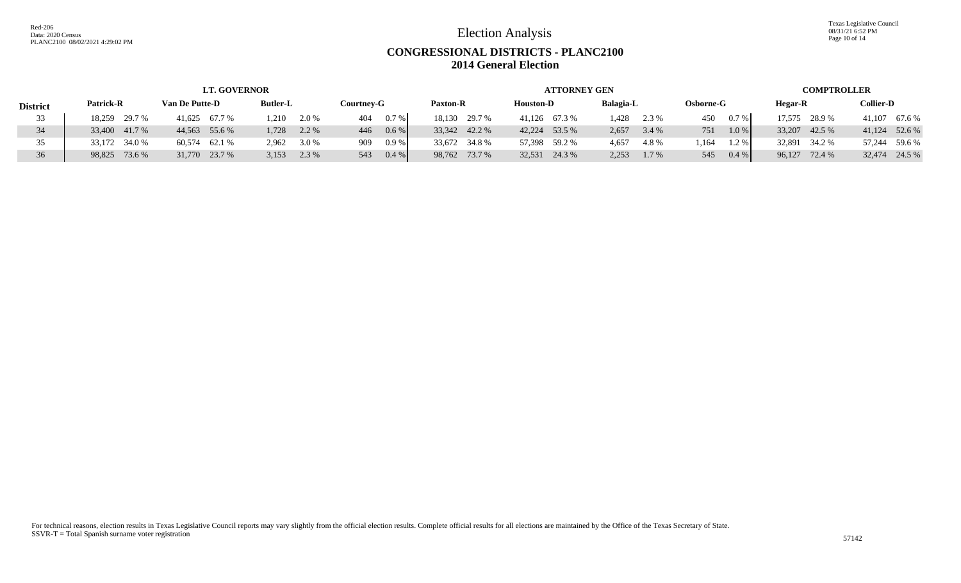Texas Legislative Council 08/31/21 6:52 PM Page 10 of 14

# **CONGRESSIONAL DISTRICTS - PLANC2100 2014 General Election**

|                 |               | <b>LT. GOVERNOR</b> |                 |                 |                 | <b>ATTORNEY GEN</b> |                  |                 | <b>COMPTROLLER</b> |                  |
|-----------------|---------------|---------------------|-----------------|-----------------|-----------------|---------------------|------------------|-----------------|--------------------|------------------|
| <b>District</b> | Patrick-R     | Van De Putte-D      | <b>Butler-L</b> | Courtnev-G      | <b>Paxton-R</b> | <b>Houston-D</b>    | <b>Balagia-L</b> | Osborne-G       | Hegar-R            | <b>Collier-D</b> |
| 33              | 18,259 29.7 % | 41,625 67.7 %       | $1,210$ 2.0 %   | $0.7\%$<br>404  | 18,130 29.7 %   | 41,126 67.3 %       | 1,428<br>2.3 %   | $0.7\%$<br>450  | 17,575 28.9 %      | 41,107 67.6 %    |
|                 | 33,400 41.7 % | 44,563 55.6 %       | 2.2 %<br>1,728  | $0.6\%$<br>446  | 33,342 42.2 %   | 42,224 53.5 %       | 2,657<br>3.4 %   | 1.0%<br>751     | 33,207 42.5 %      | 41,124 52.6 %    |
| 35.             | 33,172 34.0 % | 60,574 62.1 %       | 2,962<br>3.0 %  | 0.9%<br>909     | 33,672 34.8 %   | 57,398 59.2 %       | 4,657<br>4.8%    | .164<br>$1.2\%$ | 32,891<br>34.2 %   | 57,244 59.6 %    |
| 36              | 98,825 73.6 % | 31,770 23.7 %       | 3,153<br>2.3 %  | $0.4 \%$<br>543 | 98,762 73.7 %   | 32,531 24.3 %       | 2,253<br>1.7 %   | 0.4 %<br>545    | 96,127 72.4 %      | 32,474 24.5 %    |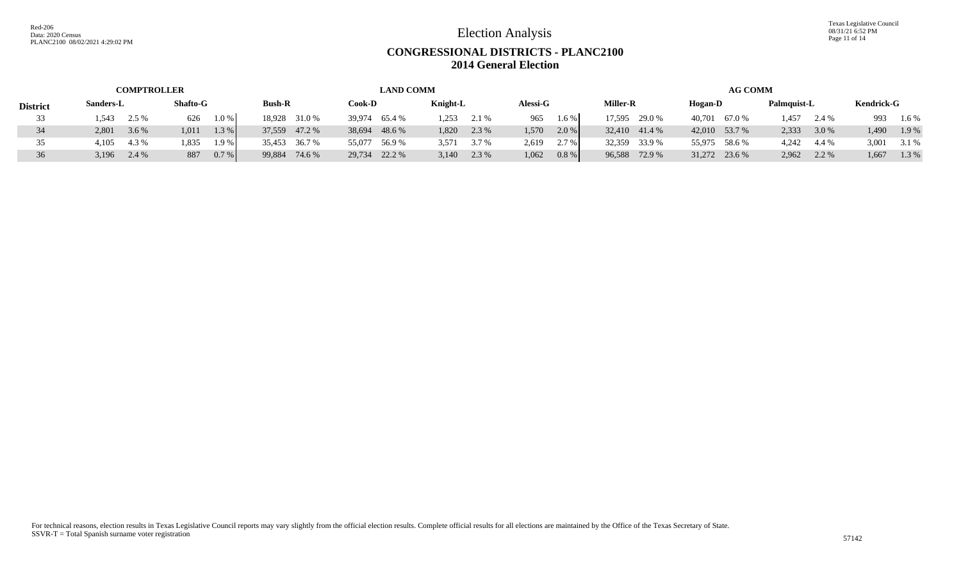Texas Legislative Council 08/31/21 6:52 PM Page 11 of 14

# **CONGRESSIONAL DISTRICTS - PLANC2100 2014 General Election**

|                 | <b>COMPTROLLER</b> |                 |                  | <b>LAND COMM</b> |                |                   |                 | <b>AG COMM</b> |                |                   |
|-----------------|--------------------|-----------------|------------------|------------------|----------------|-------------------|-----------------|----------------|----------------|-------------------|
| <b>District</b> | Sanders-L          | <b>Shafto-G</b> | <b>Bush-R</b>    | Cook-D           | Knight-L       | <b>Alessi-G</b>   | <b>Miller-R</b> | Hogan-D        | Palmquist-L    | <b>Kendrick-G</b> |
|                 | 1,543<br>2.5 %     | 1.0 %<br>626    | 18,928 31.0 %    | 39,974 65.4 %    | 1,253<br>2.1 % | 1.6%<br>965       | 17,595 29.0 %   | 40,701 67.0 %  | 1,457<br>2.4 % | 993<br>1.6 %      |
| 34              | 3.6 %<br>2,801     | 1.3 %<br>1,011  | 37,559 47.2 %    | 38,694<br>48.6 % | 1,820<br>2.3 % | 2.0%<br>1.570     | 32,410 41.4 %   | 42,010 53.7 %  | 2,333<br>3.0 % | 1.9%<br>1,490     |
|                 | 4.3 %<br>4,105     | 1,835<br>1.9%   | 35,453 36.7 %    | 55,077<br>56.9 % | 3.7 %<br>3,571 | $2.7\%$<br>2,619  | 32,359 33.9 %   | 55,975 58.6 %  | 4,242<br>4.4 % | 3,001<br>3.1 %    |
| 36              | 3,196<br>2.4 %     | 0.7%<br>887     | 99,884<br>74.6 % | 29,734<br>22.2 % | $3,140$ 2.3 %  | $0.8 \%$<br>1,062 | 96,588 72.9 %   | 31,272 23.6 %  | 2,962<br>2.2 % | 1.3 %<br>1,667    |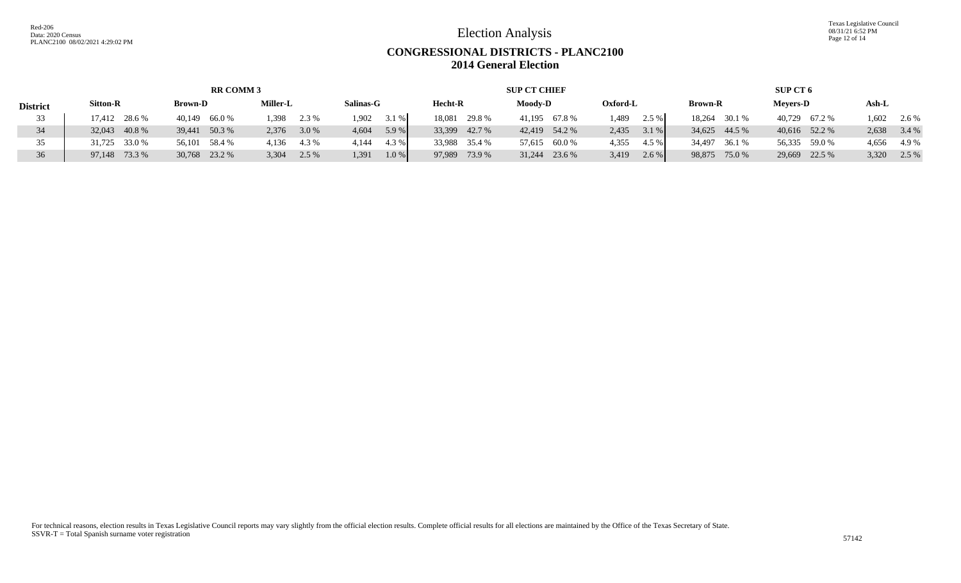Texas Legislative Council 08/31/21 6:52 PM Page 12 of 14

# **CONGRESSIONAL DISTRICTS - PLANC2100 2014 General Election**

|                 |                 | <b>RR COMM 3</b> |                 |                |                  | <b>SUP CT CHIEF</b> |                  |                  | SUP CT 6        |                |
|-----------------|-----------------|------------------|-----------------|----------------|------------------|---------------------|------------------|------------------|-----------------|----------------|
| <b>District</b> | <b>Sitton-R</b> | <b>Brown-D</b>   | <b>Miller-L</b> | Salinas-G      | Hecht-R          | <b>Moodv-D</b>      | Oxford-L         | <b>Brown-R</b>   | <b>Mevers-D</b> | Ash-L          |
| 33              | 17,412 28.6 %   | 40,149 66.0 %    | $1,398$ $2.3\%$ | 1.902<br>3.1 % | 18,081<br>29.8 % | 41,195 67.8 %       | 1,489<br>2.5%    | 18,264<br>30.1 % | 40,729 67.2 %   | .602<br>2.6 %  |
| 34              | 32,043 40.8 %   | 39,441 50.3 %    | 2,376 3.0 %     | 5.9%<br>4,604  | 33,399 42.7 %    | 42,419 54.2 %       | 2,435<br>$3.1\%$ | 34,625 44.5 %    | 40,616 52.2 %   | 2,638<br>3.4 % |
| 35              | 31,725 33.0 %   | 56,101 58.4 %    | 4,136 4.3 %     | 4.3 %<br>4,144 | 33,988 35.4 %    | 57,615 60.0 %       | 4,355<br>4.5 %   | 34,497<br>36.1 % | 56,335 59.0 %   | 4,656<br>4.9 % |
|                 | 97,148 73.3 %   | 30,768 23.2 %    | 3,304<br>2.5 %  | 1.0%<br>1.391  | 97,989<br>73.9 % | $31,244$ 23.6 %     | 3,419<br>$2.6\%$ | 98,875<br>75.0 % | 29,669 22.5 %   | 3,320<br>2.5 % |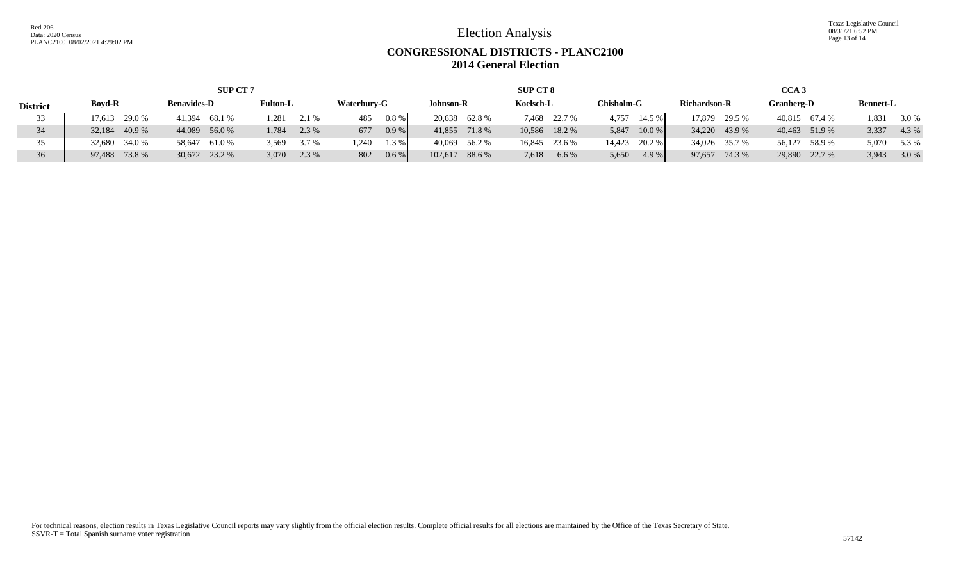Texas Legislative Council 08/31/21 6:52 PM Page 13 of 14

# **CONGRESSIONAL DISTRICTS - PLANC2100 2014 General Election**

| <b>SUP CT 7</b> |                 |                    |                 |                  |                   | <b>SUP CT 8</b> |                   | CCA <sub>3</sub>    |               |                  |  |
|-----------------|-----------------|--------------------|-----------------|------------------|-------------------|-----------------|-------------------|---------------------|---------------|------------------|--|
| <b>District</b> | <b>Boyd-R</b>   | <b>Benavides-D</b> | <b>Fulton-L</b> | Waterbury-G      | Johnson-R         | Koelsch-L       | <b>Chisholm-G</b> | <b>Richardson-R</b> | Granberg-D    | <b>Bennett-L</b> |  |
|                 | 29.0%<br>17.613 | 41,394 68.1 %      | 1.281<br>2.1 %  | 0.8 %<br>485     | 20,638 62.8 %     | 7,468 22.7 %    | 14.5 %<br>4,757   | 17,879<br>29.5 %    | 40,815 67.4 % | 1,831<br>3.0 %   |  |
| 34              | 40.9%<br>32.184 | 44,089 56.0 %      | 2.3 %<br>1,784  | 0.9%<br>677      | 41,855 71.8 %     | 10,586 18.2 %   | 10.0 %<br>5,847   | 34,220 43.9 %       | 40,463 51.9 % | 3,337<br>4.3 %   |  |
|                 | 32,680 34.0 %   | 61.0 %<br>58,647   | 3.569<br>3.7 %  | 1.240<br>$1.3\%$ | 40,069 56.2 %     | 16,845 23.6 %   | 14,423 20.2 %     | 34,026 35.7 %       | 56,127 58.9 % | 5,070<br>5.3 %   |  |
| 36              | 97,488 73.8 %   | 30,672 23.2 %      | 3,070<br>2.3 %  | $0.6\%$<br>802   | 102,617<br>88.6 % | 7,618<br>6.6 %  | 5,650<br>4.9 %    | 97,657 74.3 %       | 29,890 22.7 % | 3.0 %<br>3,943   |  |